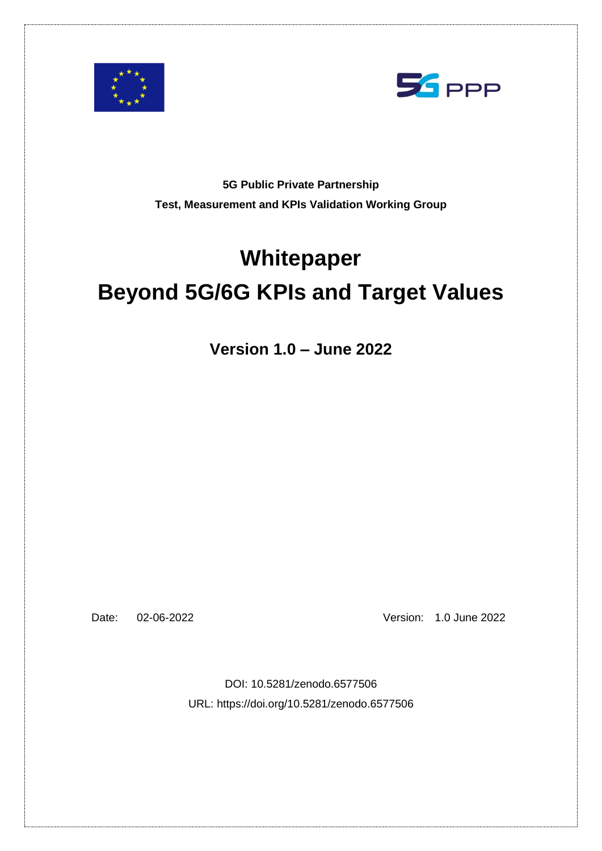<span id="page-0-0"></span>



**5G Public Private Partnership Test, Measurement and KPIs Validation Working Group**

# **Whitepaper Beyond 5G/6G KPIs and Target Values**

**Version 1.0 – June 2022**

Date: 02-06-2022 Version: 1.0 June 2022

DOI: 10.5281/zenodo.6577506 URL: https://doi.org/10.5281/zenodo.6577506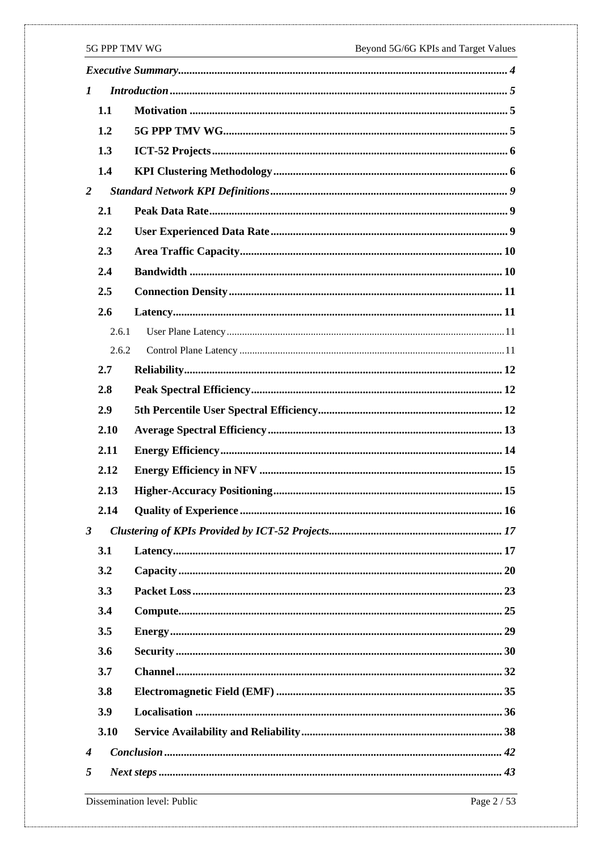| $\boldsymbol{l}$ |       |  |
|------------------|-------|--|
|                  | 1.1   |  |
|                  | 1.2   |  |
|                  | 1.3   |  |
|                  | 1.4   |  |
| 2                |       |  |
|                  | 2.1   |  |
|                  | 2.2   |  |
|                  | 2.3   |  |
|                  | 2.4   |  |
|                  | 2.5   |  |
|                  | 2.6   |  |
|                  | 2.6.1 |  |
|                  | 2.6.2 |  |
|                  | 2.7   |  |
|                  | 2.8   |  |
|                  | 2.9   |  |
|                  | 2.10  |  |
|                  | 2.11  |  |
|                  | 2.12  |  |
|                  | 2.13  |  |
|                  | 2.14  |  |
| $\mathbf{3}$     |       |  |
|                  | 3.1   |  |
|                  | 3.2   |  |
|                  | 3.3   |  |
|                  | 3.4   |  |
|                  | 3.5   |  |
|                  | 3.6   |  |
|                  | 3.7   |  |
|                  | 3.8   |  |
|                  | 3.9   |  |
|                  | 3.10  |  |
| $\boldsymbol{4}$ |       |  |
| 5                |       |  |
|                  |       |  |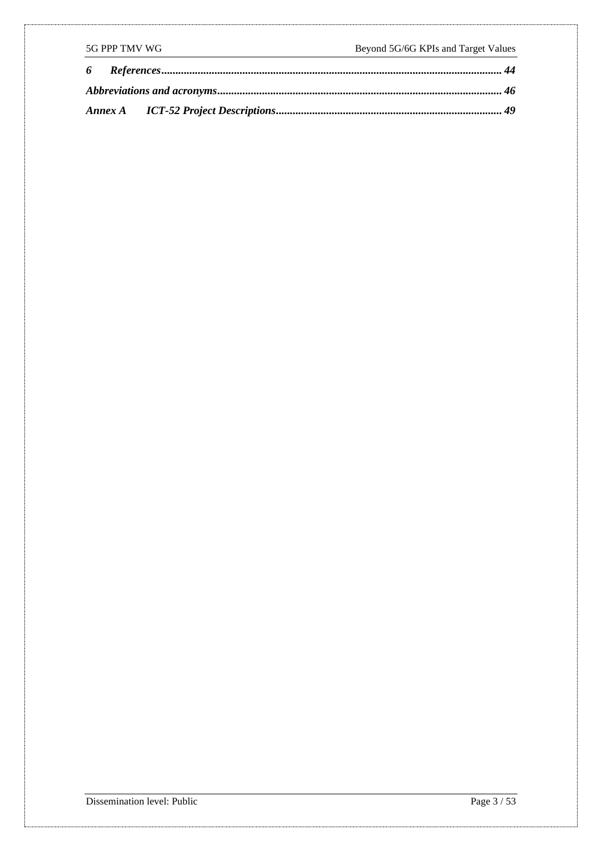| 5G PPP TMV WG |  | Beyond 5G/6G KPIs and Target Values |
|---------------|--|-------------------------------------|
|               |  |                                     |
|               |  |                                     |
|               |  |                                     |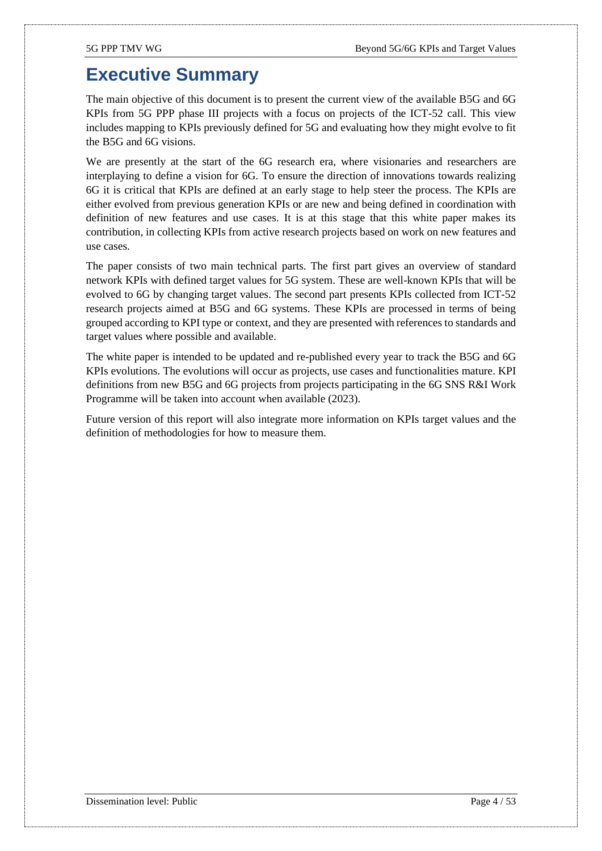## <span id="page-3-0"></span>**Executive Summary**

The main objective of this document is to present the current view of the available B5G and 6G KPIs from 5G PPP phase III projects with a focus on projects of the ICT-52 call. This view includes mapping to KPIs previously defined for 5G and evaluating how they might evolve to fit the B5G and 6G visions.

We are presently at the start of the 6G research era, where visionaries and researchers are interplaying to define a vision for 6G. To ensure the direction of innovations towards realizing 6G it is critical that KPIs are defined at an early stage to help steer the process. The KPIs are either evolved from previous generation KPIs or are new and being defined in coordination with definition of new features and use cases. It is at this stage that this white paper makes its contribution, in collecting KPIs from active research projects based on work on new features and use cases.

The paper consists of two main technical parts. The first part gives an overview of standard network KPIs with defined target values for 5G system. These are well-known KPIs that will be evolved to 6G by changing target values. The second part presents KPIs collected from ICT-52 research projects aimed at B5G and 6G systems. These KPIs are processed in terms of being grouped according to KPI type or context, and they are presented with references to standards and target values where possible and available.

The white paper is intended to be updated and re-published every year to track the B5G and 6G KPIs evolutions. The evolutions will occur as projects, use cases and functionalities mature. KPI definitions from new B5G and 6G projects from projects participating in the 6G SNS R&I Work Programme will be taken into account when available (2023).

Future version of this report will also integrate more information on KPIs target values and the definition of methodologies for how to measure them.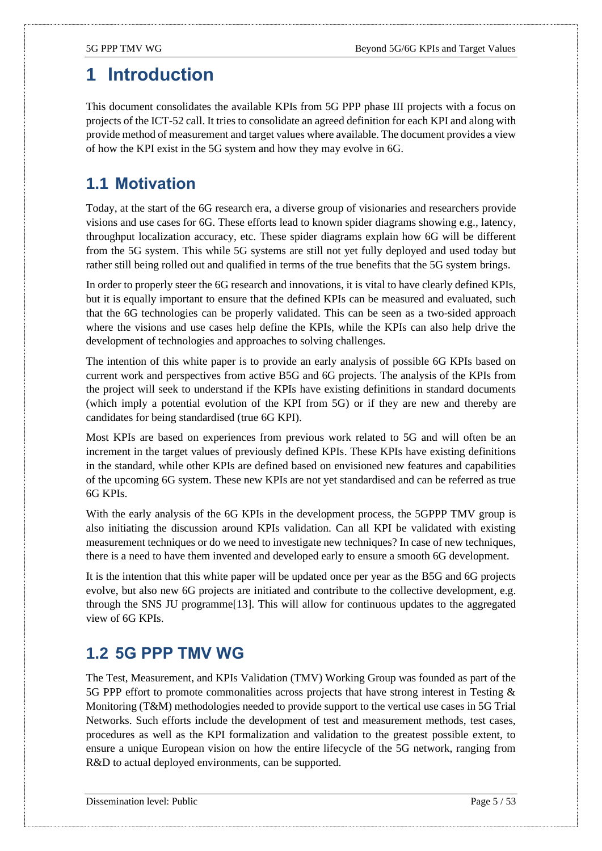## <span id="page-4-0"></span>**1 Introduction**

This document consolidates the available KPIs from 5G PPP phase III projects with a focus on projects of the ICT-52 call. It tries to consolidate an agreed definition for each KPI and along with provide method of measurement and target values where available. The document provides a view of how the KPI exist in the 5G system and how they may evolve in 6G.

### <span id="page-4-1"></span>**1.1 Motivation**

Today, at the start of the 6G research era, a diverse group of visionaries and researchers provide visions and use cases for 6G. These efforts lead to known spider diagrams showing e.g., latency, throughput localization accuracy, etc. These spider diagrams explain how 6G will be different from the 5G system. This while 5G systems are still not yet fully deployed and used today but rather still being rolled out and qualified in terms of the true benefits that the 5G system brings.

In order to properly steer the 6G research and innovations, it is vital to have clearly defined KPIs, but it is equally important to ensure that the defined KPIs can be measured and evaluated, such that the 6G technologies can be properly validated. This can be seen as a two-sided approach where the visions and use cases help define the KPIs, while the KPIs can also help drive the development of technologies and approaches to solving challenges.

The intention of this white paper is to provide an early analysis of possible 6G KPIs based on current work and perspectives from active B5G and 6G projects. The analysis of the KPIs from the project will seek to understand if the KPIs have existing definitions in standard documents (which imply a potential evolution of the KPI from 5G) or if they are new and thereby are candidates for being standardised (true 6G KPI).

Most KPIs are based on experiences from previous work related to 5G and will often be an increment in the target values of previously defined KPIs. These KPIs have existing definitions in the standard, while other KPIs are defined based on envisioned new features and capabilities of the upcoming 6G system. These new KPIs are not yet standardised and can be referred as true 6G KPIs.

With the early analysis of the 6G KPIs in the development process, the 5GPPP TMV group is also initiating the discussion around KPIs validation. Can all KPI be validated with existing measurement techniques or do we need to investigate new techniques? In case of new techniques, there is a need to have them invented and developed early to ensure a smooth 6G development.

It is the intention that this white paper will be updated once per year as the B5G and 6G projects evolve, but also new 6G projects are initiated and contribute to the collective development, e.g. through the SNS JU programm[e\[13\].](#page-43-1) This will allow for continuous updates to the aggregated view of 6G KPIs.

### <span id="page-4-2"></span>**1.2 5G PPP TMV WG**

The Test, Measurement, and KPIs Validation (TMV) Working Group was founded as part of the 5G PPP effort to promote commonalities across projects that have strong interest in Testing & Monitoring (T&M) methodologies needed to provide support to the vertical use cases in 5G Trial Networks. Such efforts include the development of test and measurement methods, test cases, procedures as well as the KPI formalization and validation to the greatest possible extent, to ensure a unique European vision on how the entire lifecycle of the 5G network, ranging from R&D to actual deployed environments, can be supported.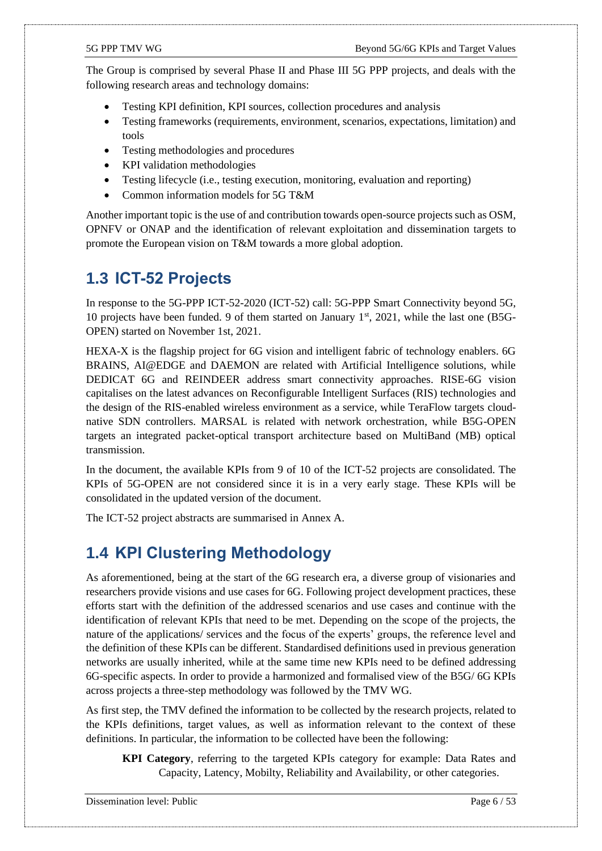The Group is comprised by several Phase II and Phase III 5G PPP projects, and deals with the following research areas and technology domains:

- Testing KPI definition, KPI sources, collection procedures and analysis
- Testing frameworks (requirements, environment, scenarios, expectations, limitation) and tools
- Testing methodologies and procedures
- KPI validation methodologies
- Testing lifecycle (i.e., testing execution, monitoring, evaluation and reporting)
- Common information models for 5G T&M

Another important topic is the use of and contribution towards open-source projects such as OSM, OPNFV or ONAP and the identification of relevant exploitation and dissemination targets to promote the European vision on T&M towards a more global adoption.

#### <span id="page-5-0"></span>**1.3 ICT-52 Projects**

In response to the 5G-PPP ICT-52-2020 (ICT-52) call: 5G-PPP Smart Connectivity beyond 5G, 10 projects have been funded. 9 of them started on January  $1<sup>st</sup>$ , 2021, while the last one (B5G-OPEN) started on November 1st, 2021.

HEXA-X is the flagship project for 6G vision and intelligent fabric of technology enablers. 6G BRAINS, AI@EDGE and DAEMON are related with Artificial Intelligence solutions, while DEDICAT 6G and REINDEER address smart connectivity approaches. RISE-6G vision capitalises on the latest advances on Reconfigurable Intelligent Surfaces (RIS) technologies and the design of the RIS-enabled wireless environment as a service, while TeraFlow targets cloudnative SDN controllers. MARSAL is related with network orchestration, while B5G-OPEN targets an integrated packet-optical transport architecture based on MultiBand (MB) optical transmission.

In the document, the available KPIs from 9 of 10 of the ICT-52 projects are consolidated. The KPIs of 5G-OPEN are not considered since it is in a very early stage. These KPIs will be consolidated in the updated version of the document.

The ICT-52 project abstracts are summarised in [Annex A.](#page-48-0)

#### <span id="page-5-1"></span>**1.4 KPI Clustering Methodology**

As aforementioned, being at the start of the 6G research era, a diverse group of visionaries and researchers provide visions and use cases for 6G. Following project development practices, these efforts start with the definition of the addressed scenarios and use cases and continue with the identification of relevant KPIs that need to be met. Depending on the scope of the projects, the nature of the applications/ services and the focus of the experts' groups, the reference level and the definition of these KPIs can be different. Standardised definitions used in previous generation networks are usually inherited, while at the same time new KPIs need to be defined addressing 6G-specific aspects. In order to provide a harmonized and formalised view of the B5G/ 6G KPIs across projects a three-step methodology was followed by the TMV WG.

As first step, the TMV defined the information to be collected by the research projects, related to the KPIs definitions, target values, as well as information relevant to the context of these definitions. In particular, the information to be collected have been the following:

**KPI Category**, referring to the targeted KPIs category for example: Data Rates and Capacity, Latency, Mobilty, Reliability and Availability, or other categories.

Dissemination level: Public Page 6 / 53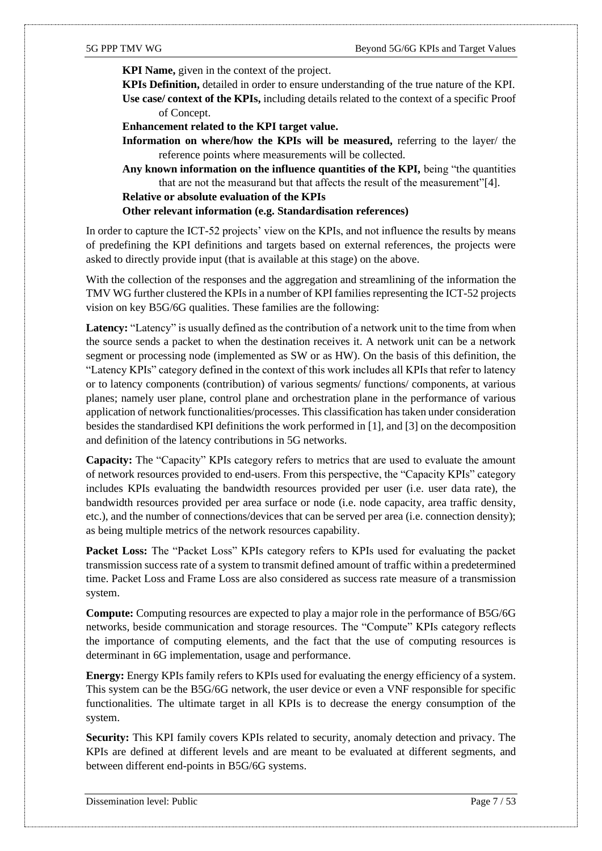**KPI Name,** given in the context of the project.

**KPIs Definition,** detailed in order to ensure understanding of the true nature of the KPI.

**Use case/ context of the KPIs,** including details related to the context of a specific Proof of Concept.

**Enhancement related to the KPI target value.**

**Information on where/how the KPIs will be measured,** referring to the layer/ the reference points where measurements will be collected.

**Any known information on the influence quantities of the KPI,** being "the quantities that are not the measurand but that affects the result of the measurement["\[4\].](#page-43-2)

**Relative or absolute evaluation of the KPIs** 

**Other relevant information (e.g. Standardisation references)** 

In order to capture the ICT-52 projects' view on the KPIs, and not influence the results by means of predefining the KPI definitions and targets based on external references, the projects were asked to directly provide input (that is available at this stage) on the above.

With the collection of the responses and the aggregation and streamlining of the information the TMV WG further clustered the KPIs in a number of KPI families representing the ICT-52 projects vision on key B5G/6G qualities. These families are the following:

Latency: "Latency" is usually defined as the contribution of a network unit to the time from when the source sends a packet to when the destination receives it. A network unit can be a network segment or processing node (implemented as SW or as HW). On the basis of this definition, the "Latency KPIs" category defined in the context of this work includes all KPIs that refer to latency or to latency components (contribution) of various segments/ functions/ components, at various planes; namely user plane, control plane and orchestration plane in the performance of various application of network functionalities/processes. This classification has taken under consideration besides the standardised KPI definitions the work performed in [\[1\],](#page-43-3) an[d \[3\]](#page-43-4) on the decomposition and definition of the latency contributions in 5G networks.

**Capacity:** The "Capacity" KPIs category refers to metrics that are used to evaluate the amount of network resources provided to end-users. From this perspective, the "Capacity KPIs" category includes KPIs evaluating the bandwidth resources provided per user (i.e. user data rate), the bandwidth resources provided per area surface or node (i.e. node capacity, area traffic density, etc.), and the number of connections/devices that can be served per area (i.e. connection density); as being multiple metrics of the network resources capability.

**Packet Loss:** The "Packet Loss" KPIs category refers to KPIs used for evaluating the packet transmission success rate of a system to transmit defined amount of traffic within a predetermined time. Packet Loss and Frame Loss are also considered as success rate measure of a transmission system.

**Compute:** Computing resources are expected to play a major role in the performance of B5G/6G networks, beside communication and storage resources. The "Compute" KPIs category reflects the importance of computing elements, and the fact that the use of computing resources is determinant in 6G implementation, usage and performance.

**Energy:** Energy KPIs family refers to KPIs used for evaluating the energy efficiency of a system. This system can be the B5G/6G network, the user device or even a VNF responsible for specific functionalities. The ultimate target in all KPIs is to decrease the energy consumption of the system.

**Security:** This KPI family covers KPIs related to security, anomaly detection and privacy. The KPIs are defined at different levels and are meant to be evaluated at different segments, and between different end-points in B5G/6G systems.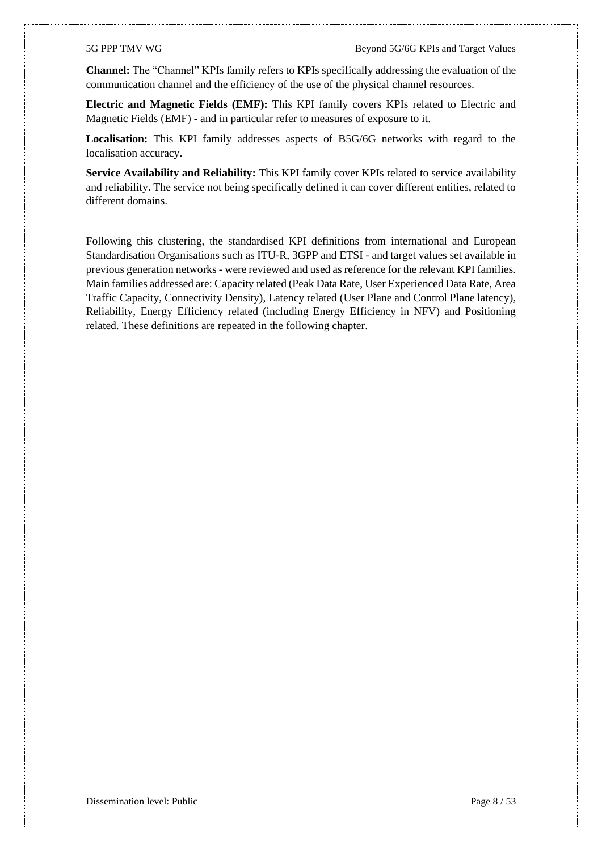**Channel:** The "Channel" KPIs family refers to KPIs specifically addressing the evaluation of the communication channel and the efficiency of the use of the physical channel resources.

**Electric and Magnetic Fields (EMF):** This KPI family covers KPIs related to Electric and Magnetic Fields (EMF) - and in particular refer to measures of exposure to it.

**Localisation:** This KPI family addresses aspects of B5G/6G networks with regard to the localisation accuracy.

**Service Availability and Reliability:** This KPI family cover KPIs related to service availability and reliability. The service not being specifically defined it can cover different entities, related to different domains.

Following this clustering, the standardised KPI definitions from international and European Standardisation Organisations such as ITU-R, 3GPP and ETSI - and target values set available in previous generation networks - were reviewed and used as reference for the relevant KPI families. Main families addressed are: Capacity related (Peak Data Rate, User Experienced Data Rate, Area Traffic Capacity, Connectivity Density), Latency related (User Plane and Control Plane latency), Reliability, Energy Efficiency related (including Energy Efficiency in NFV) and Positioning related. These definitions are repeated in the following chapter.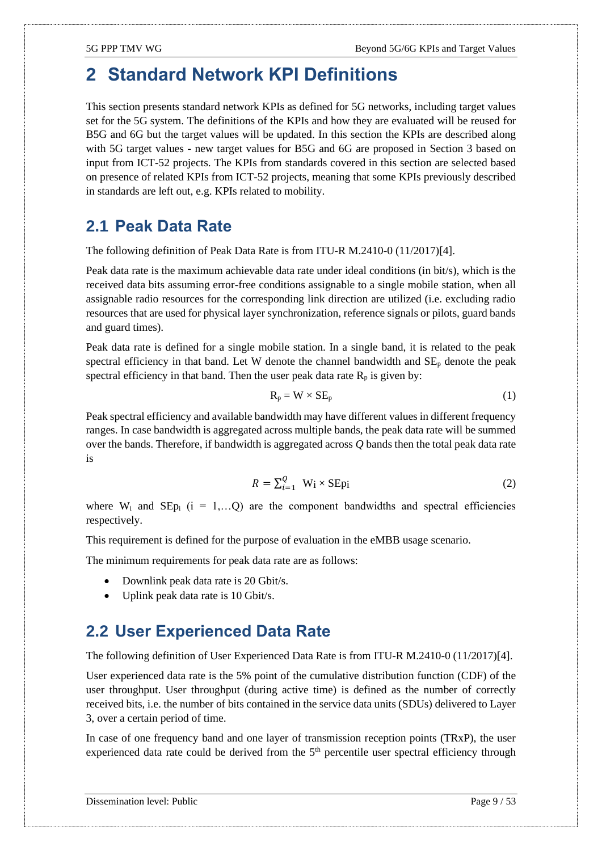## <span id="page-8-0"></span>**2 Standard Network KPI Definitions**

This section presents standard network KPIs as defined for 5G networks, including target values set for the 5G system. The definitions of the KPIs and how they are evaluated will be reused for B5G and 6G but the target values will be updated. In this section the KPIs are described along with 5G target values - new target values for B5G and 6G are proposed in Section [3](#page-16-0) based on input from ICT-52 projects. The KPIs from standards covered in this section are selected based on presence of related KPIs from ICT-52 projects, meaning that some KPIs previously described in standards are left out, e.g. KPIs related to mobility.

### <span id="page-8-1"></span>**2.1 Peak Data Rate**

The following definition of Peak Data Rate is from ITU-R M.2410-0 (11/2017[\)\[4\].](#page-43-2)

Peak data rate is the maximum achievable data rate under ideal conditions (in bit/s), which is the received data bits assuming error-free conditions assignable to a single mobile station, when all assignable radio resources for the corresponding link direction are utilized (i.e. excluding radio resources that are used for physical layer synchronization, reference signals or pilots, guard bands and guard times).

Peak data rate is defined for a single mobile station. In a single band, it is related to the peak spectral efficiency in that band. Let W denote the channel bandwidth and  $SE<sub>p</sub>$  denote the peak spectral efficiency in that band. Then the user peak data rate  $R_p$  is given by:

$$
R_p = W \times SE_p \tag{1}
$$

Peak spectral efficiency and available bandwidth may have different values in different frequency ranges. In case bandwidth is aggregated across multiple bands, the peak data rate will be summed over the bands. Therefore, if bandwidth is aggregated across *Q* bands then the total peak data rate is

$$
R = \sum_{i=1}^{Q} W_i \times \text{SEpi}
$$
 (2)

where  $W_i$  and  $\text{SEP}_i$  (i = 1,...Q) are the component bandwidths and spectral efficiencies respectively.

This requirement is defined for the purpose of evaluation in the eMBB usage scenario.

The minimum requirements for peak data rate are as follows:

- Downlink peak data rate is 20 Gbit/s.
- Uplink peak data rate is 10 Gbit/s.

#### <span id="page-8-2"></span>**2.2 User Experienced Data Rate**

The following definition of User Experienced Data Rate is from ITU-R M.2410-0 (11/2017[\)\[4\].](#page-43-2)

User experienced data rate is the 5% point of the cumulative distribution function (CDF) of the user throughput. User throughput (during active time) is defined as the number of correctly received bits, i.e. the number of bits contained in the service data units (SDUs) delivered to Layer 3, over a certain period of time.

In case of one frequency band and one layer of transmission reception points (TRxP), the user experienced data rate could be derived from the 5<sup>th</sup> percentile user spectral efficiency through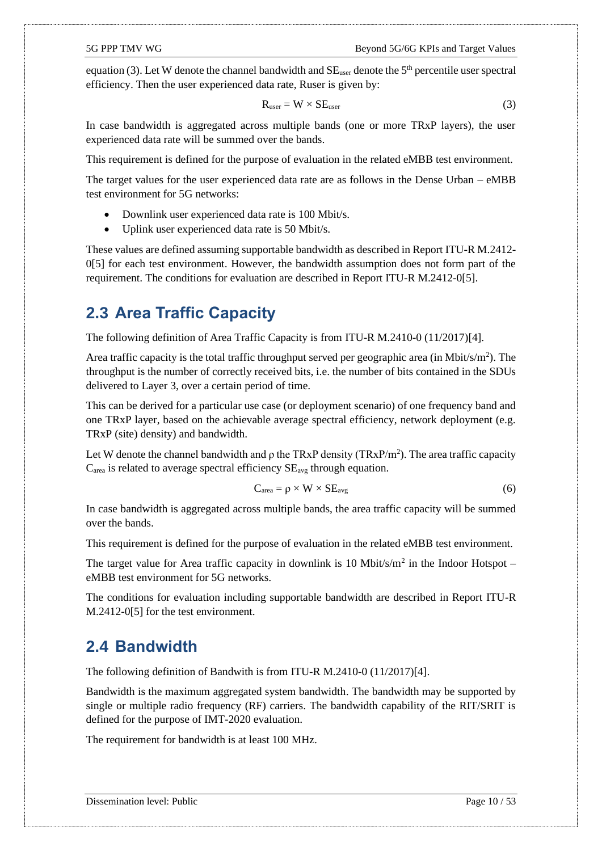equation (3). Let W denote the channel bandwidth and  $SE_{user}$  denote the  $5<sup>th</sup>$  percentile user spectral efficiency. Then the user experienced data rate, Ruser is given by:

$$
R_{user} = W \times SE_{user}
$$
 (3)

In case bandwidth is aggregated across multiple bands (one or more TRxP layers), the user experienced data rate will be summed over the bands.

This requirement is defined for the purpose of evaluation in the related eMBB test environment.

The target values for the user experienced data rate are as follows in the Dense Urban – eMBB test environment for 5G networks:

- Downlink user experienced data rate is 100 Mbit/s.
- Uplink user experienced data rate is 50 Mbit/s.

These values are defined assuming supportable bandwidth as described in Report ITU-R M.2412- [0\[5\]](#page-43-5) for each test environment. However, the bandwidth assumption does not form part of the requirement. The conditions for evaluation are described in Report ITU-R M.2412-[0\[5\].](#page-43-5)

#### <span id="page-9-0"></span>**2.3 Area Traffic Capacity**

The following definition of Area Traffic Capacity is from ITU-R M.2410-0 (11/2017[\)\[4\].](#page-43-2)

Area traffic capacity is the total traffic throughput served per geographic area (in Mbit/s/m<sup>2</sup>). The throughput is the number of correctly received bits, i.e. the number of bits contained in the SDUs delivered to Layer 3, over a certain period of time.

This can be derived for a particular use case (or deployment scenario) of one frequency band and one TRxP layer, based on the achievable average spectral efficiency, network deployment (e.g. TRxP (site) density) and bandwidth.

Let W denote the channel bandwidth and  $\rho$  the TRxP density (TRxP/m<sup>2</sup>). The area traffic capacity  $C_{area}$  is related to average spectral efficiency  $SE_{avg}$  through equation.

$$
C_{area} = \rho \times W \times SE_{avg}
$$
 (6)

In case bandwidth is aggregated across multiple bands, the area traffic capacity will be summed over the bands.

This requirement is defined for the purpose of evaluation in the related eMBB test environment.

The target value for Area traffic capacity in downlink is 10 Mbit/s/ $m<sup>2</sup>$  in the Indoor Hotspot – eMBB test environment for 5G networks.

The conditions for evaluation including supportable bandwidth are described in Report ITU-R M.2412-[0\[5\]](#page-43-5) for the test environment.

#### <span id="page-9-1"></span>**2.4 Bandwidth**

The following definition of Bandwith is from ITU-R M.2410-0 (11/2017[\)\[4\].](#page-43-2)

Bandwidth is the maximum aggregated system bandwidth. The bandwidth may be supported by single or multiple radio frequency (RF) carriers. The bandwidth capability of the RIT/SRIT is defined for the purpose of IMT-2020 evaluation.

The requirement for bandwidth is at least 100 MHz.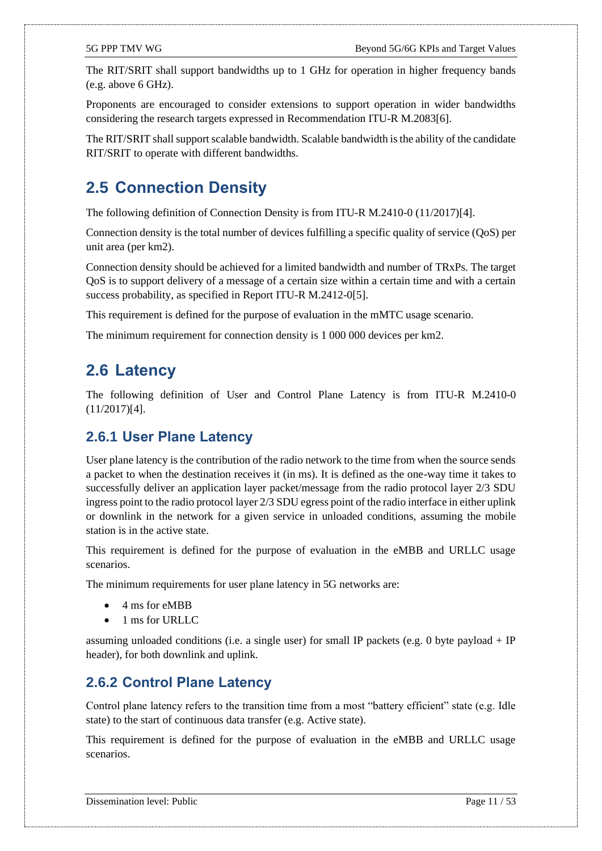The RIT/SRIT shall support bandwidths up to 1 GHz for operation in higher frequency bands (e.g. above 6 GHz).

Proponents are encouraged to consider extensions to support operation in wider bandwidths considering the research targets expressed in Recommendation ITU-R M.208[3\[6\].](#page-43-6)

The RIT/SRIT shall support scalable bandwidth. Scalable bandwidth is the ability of the candidate RIT/SRIT to operate with different bandwidths.

#### <span id="page-10-0"></span>**2.5 Connection Density**

The following definition of Connection Density is from ITU-R M.2410-0 (11/2017[\)\[4\].](#page-43-2)

Connection density is the total number of devices fulfilling a specific quality of service (QoS) per unit area (per km2).

Connection density should be achieved for a limited bandwidth and number of TRxPs. The target QoS is to support delivery of a message of a certain size within a certain time and with a certain success probability, as specified in Report ITU-R M.2412-[0\[5\].](#page-43-5)

This requirement is defined for the purpose of evaluation in the mMTC usage scenario.

The minimum requirement for connection density is 1 000 000 devices per km2.

#### <span id="page-10-1"></span>**2.6 Latency**

The following definition of User and Control Plane Latency is from ITU-R M.2410-0 (11/2017[\)\[4\].](#page-43-2)

#### <span id="page-10-2"></span>**2.6.1 User Plane Latency**

User plane latency is the contribution of the radio network to the time from when the source sends a packet to when the destination receives it (in ms). It is defined as the one-way time it takes to successfully deliver an application layer packet/message from the radio protocol layer 2/3 SDU ingress point to the radio protocol layer 2/3 SDU egress point of the radio interface in either uplink or downlink in the network for a given service in unloaded conditions, assuming the mobile station is in the active state.

This requirement is defined for the purpose of evaluation in the eMBB and URLLC usage scenarios.

The minimum requirements for user plane latency in 5G networks are:

- 4 ms for eMBB
- 1 ms for URLLC

assuming unloaded conditions (i.e. a single user) for small IP packets (e.g. 0 byte payload  $+$  IP header), for both downlink and uplink.

#### <span id="page-10-3"></span>**2.6.2 Control Plane Latency**

Control plane latency refers to the transition time from a most "battery efficient" state (e.g. Idle state) to the start of continuous data transfer (e.g. Active state).

This requirement is defined for the purpose of evaluation in the eMBB and URLLC usage scenarios.

Dissemination level: Public Page 11 / 53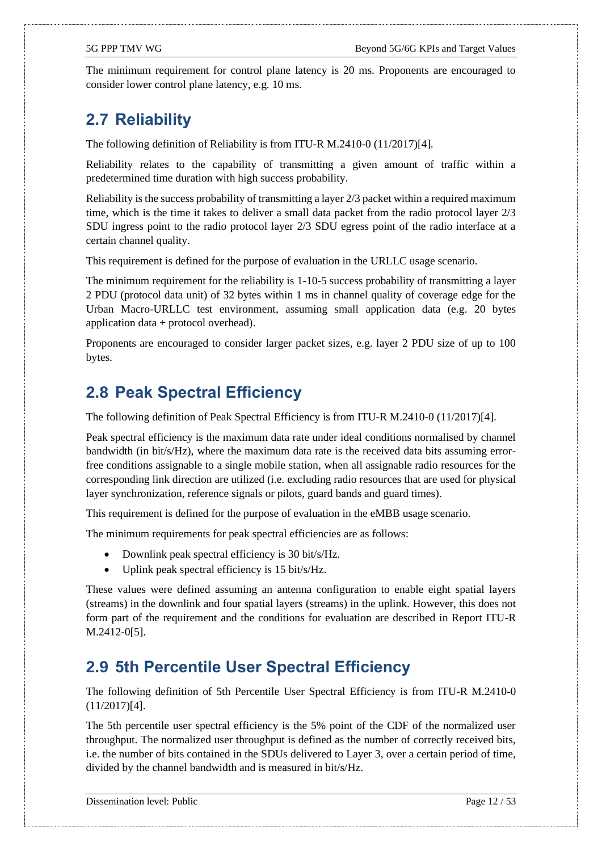The minimum requirement for control plane latency is 20 ms. Proponents are encouraged to consider lower control plane latency, e.g. 10 ms.

### <span id="page-11-0"></span>**2.7 Reliability**

The following definition of Reliability is from ITU-R M.2410-0 (11/2017[\)\[4\].](#page-43-2)

Reliability relates to the capability of transmitting a given amount of traffic within a predetermined time duration with high success probability.

Reliability is the success probability of transmitting a layer  $2/3$  packet within a required maximum time, which is the time it takes to deliver a small data packet from the radio protocol layer 2/3 SDU ingress point to the radio protocol layer 2/3 SDU egress point of the radio interface at a certain channel quality.

This requirement is defined for the purpose of evaluation in the URLLC usage scenario.

The minimum requirement for the reliability is 1-10-5 success probability of transmitting a layer 2 PDU (protocol data unit) of 32 bytes within 1 ms in channel quality of coverage edge for the Urban Macro-URLLC test environment, assuming small application data (e.g. 20 bytes application data + protocol overhead).

Proponents are encouraged to consider larger packet sizes, e.g. layer 2 PDU size of up to 100 bytes.

#### <span id="page-11-1"></span>**2.8 Peak Spectral Efficiency**

The following definition of Peak Spectral Efficiency is from ITU-R M.2410-0 (11/2017[\)\[4\].](#page-43-2)

Peak spectral efficiency is the maximum data rate under ideal conditions normalised by channel bandwidth (in bit/s/Hz), where the maximum data rate is the received data bits assuming errorfree conditions assignable to a single mobile station, when all assignable radio resources for the corresponding link direction are utilized (i.e. excluding radio resources that are used for physical layer synchronization, reference signals or pilots, guard bands and guard times).

This requirement is defined for the purpose of evaluation in the eMBB usage scenario.

The minimum requirements for peak spectral efficiencies are as follows:

- Downlink peak spectral efficiency is 30 bit/s/Hz.
- Uplink peak spectral efficiency is 15 bit/s/Hz.

These values were defined assuming an antenna configuration to enable eight spatial layers (streams) in the downlink and four spatial layers (streams) in the uplink. However, this does not form part of the requirement and the conditions for evaluation are described in Report ITU-R M.2412-[0\[5\].](#page-43-5)

#### <span id="page-11-2"></span>**2.9 5th Percentile User Spectral Efficiency**

The following definition of 5th Percentile User Spectral Efficiency is from ITU-R M.2410-0 (11/2017[\)\[4\].](#page-43-2)

The 5th percentile user spectral efficiency is the 5% point of the CDF of the normalized user throughput. The normalized user throughput is defined as the number of correctly received bits, i.e. the number of bits contained in the SDUs delivered to Layer 3, over a certain period of time, divided by the channel bandwidth and is measured in bit/s/Hz.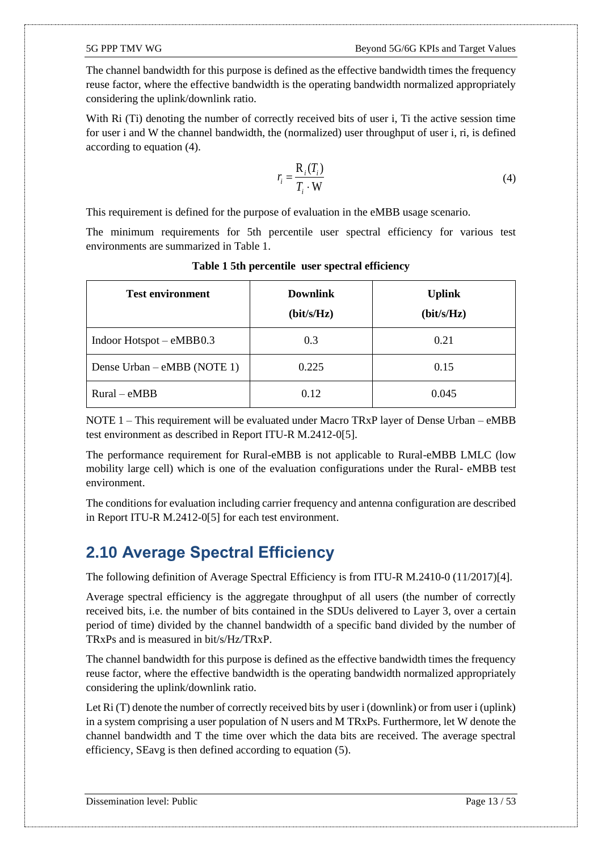The channel bandwidth for this purpose is defined as the effective bandwidth times the frequency reuse factor, where the effective bandwidth is the operating bandwidth normalized appropriately considering the uplink/downlink ratio.

With Ri (Ti) denoting the number of correctly received bits of user i, Ti the active session time for user i and W the channel bandwidth, the (normalized) user throughput of user i, ri, is defined according to equation (4).

$$
r_i = \frac{\mathbf{R}_i(T_i)}{T_i \cdot \mathbf{W}}
$$
 (4)

This requirement is defined for the purpose of evaluation in the eMBB usage scenario.

The minimum requirements for 5th percentile user spectral efficiency for various test environments are summarized i[n Table 1.](#page-12-1)

<span id="page-12-1"></span>

| <b>Test environment</b>     | <b>Downlink</b><br>(bit/s/Hz) | <b>Uplink</b><br>(bit/s/Hz) |
|-----------------------------|-------------------------------|-----------------------------|
| Indoor Hotspot – eMBB0.3    | 0.3                           | 0.21                        |
| Dense Urban – eMBB (NOTE 1) | 0.225                         | 0.15                        |
| $Rural-eMBB$                | 0.12                          | 0.045                       |

**Table 1 5th percentile user spectral efficiency**

NOTE 1 – This requirement will be evaluated under Macro TRxP layer of Dense Urban – eMBB test environment as described in Report ITU-R M.2412-[0\[5\].](#page-43-5)

The performance requirement for Rural-eMBB is not applicable to Rural-eMBB LMLC (low mobility large cell) which is one of the evaluation configurations under the Rural- eMBB test environment.

The conditions for evaluation including carrier frequency and antenna configuration are described in Report ITU-R M.2412-[0\[5\]](#page-43-5) for each test environment.

### <span id="page-12-0"></span>**2.10 Average Spectral Efficiency**

The following definition of Average Spectral Efficiency is from ITU-R M.2410-0 (11/2017[\)\[4\].](#page-43-2)

Average spectral efficiency is the aggregate throughput of all users (the number of correctly received bits, i.e. the number of bits contained in the SDUs delivered to Layer 3, over a certain period of time) divided by the channel bandwidth of a specific band divided by the number of TRxPs and is measured in bit/s/Hz/TRxP.

The channel bandwidth for this purpose is defined as the effective bandwidth times the frequency reuse factor, where the effective bandwidth is the operating bandwidth normalized appropriately considering the uplink/downlink ratio.

Let Ri (T) denote the number of correctly received bits by user i (downlink) or from user i (uplink) in a system comprising a user population of N users and M TRxPs. Furthermore, let W denote the channel bandwidth and T the time over which the data bits are received. The average spectral efficiency, SEavg is then defined according to equation (5).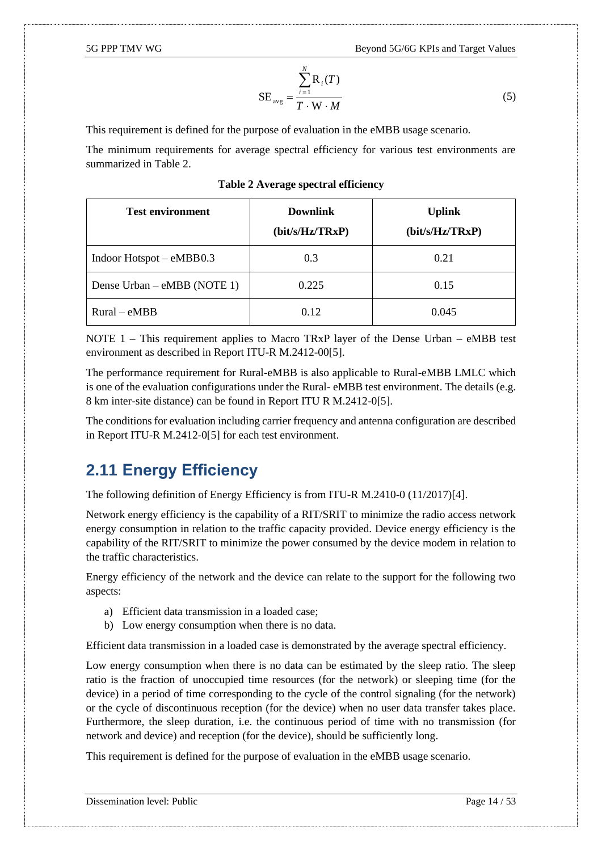$$
SE_{avg} = \frac{\sum_{i=1}^{N} R_i(T)}{T \cdot W \cdot M}
$$
 (5)

This requirement is defined for the purpose of evaluation in the eMBB usage scenario.

The minimum requirements for average spectral efficiency for various test environments are summarized in [Table 2.](#page-13-1)

<span id="page-13-1"></span>

| <b>Test environment</b>      | <b>Downlink</b> | <b>Uplink</b>   |
|------------------------------|-----------------|-----------------|
|                              | (bit/s/Hz/TRxP) | (bit/s/Hz/TRxP) |
| Indoor Hotspot $- eMBB0.3$   | 0.3             | 0.21            |
| Dense Urban $-eMBB$ (NOTE 1) | 0.225           | 0.15            |
| $Rural$ – eMBB               | 0.12            | 0.045           |

#### **Table 2 Average spectral efficiency**

NOTE  $1$  – This requirement applies to Macro TRxP layer of the Dense Urban – eMBB test environment as described in Report ITU-R M.2412-[00](#page-0-0)[\[5\].](#page-43-5)

The performance requirement for Rural-eMBB is also applicable to Rural-eMBB LMLC which is one of the evaluation configurations under the Rural- eMBB test environment. The details (e.g. 8 km inter-site distance) can be found in Report ITU R M.2412-[0\[5\].](#page-43-5)

The conditions for evaluation including carrier frequency and antenna configuration are described in Report ITU-R M.2412-[0\[5\]](#page-43-5) for each test environment.

#### <span id="page-13-0"></span>**2.11 Energy Efficiency**

The following definition of Energy Efficiency is from ITU-R M.2410-0 (11/2017[\)\[4\].](#page-43-2)

Network energy efficiency is the capability of a RIT/SRIT to minimize the radio access network energy consumption in relation to the traffic capacity provided. Device energy efficiency is the capability of the RIT/SRIT to minimize the power consumed by the device modem in relation to the traffic characteristics.

Energy efficiency of the network and the device can relate to the support for the following two aspects:

- a) Efficient data transmission in a loaded case;
- b) Low energy consumption when there is no data.

Efficient data transmission in a loaded case is demonstrated by the average spectral efficiency.

Low energy consumption when there is no data can be estimated by the sleep ratio. The sleep ratio is the fraction of unoccupied time resources (for the network) or sleeping time (for the device) in a period of time corresponding to the cycle of the control signaling (for the network) or the cycle of discontinuous reception (for the device) when no user data transfer takes place. Furthermore, the sleep duration, i.e. the continuous period of time with no transmission (for network and device) and reception (for the device), should be sufficiently long.

This requirement is defined for the purpose of evaluation in the eMBB usage scenario.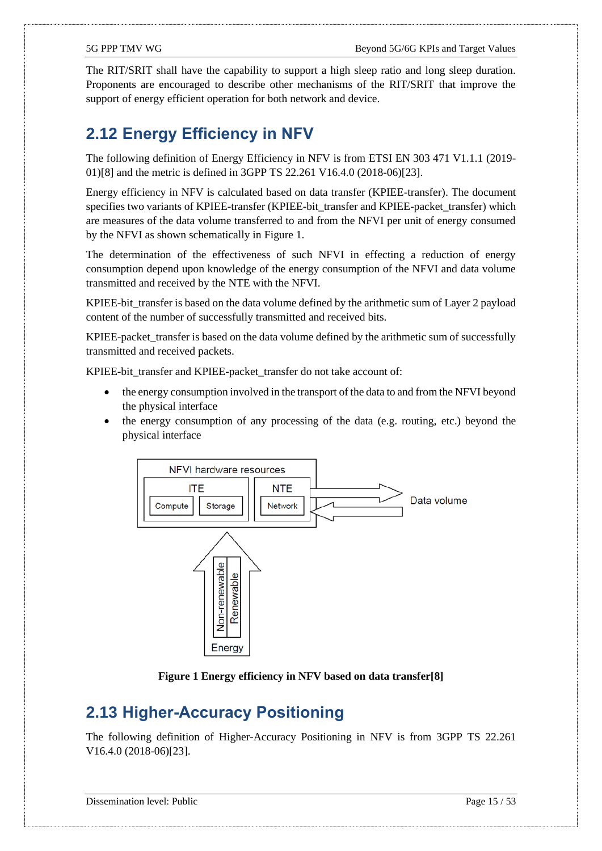The RIT/SRIT shall have the capability to support a high sleep ratio and long sleep duration. Proponents are encouraged to describe other mechanisms of the RIT/SRIT that improve the support of energy efficient operation for both network and device.

### <span id="page-14-0"></span>**2.12 Energy Efficiency in NFV**

The following definition of Energy Efficiency in NFV is from ETSI EN 303 471 V1.1.1 (2019- 01[\)\[8\]](#page-43-7) and the metric is defined in 3GPP TS 22.261 V16.4.0 (2018-06[\)\[23\].](#page-44-0)

Energy efficiency in NFV is calculated based on data transfer (KPIEE-transfer). The document specifies two variants of KPIEE-transfer (KPIEE-bit\_transfer and KPIEE-packet\_transfer) which are measures of the data volume transferred to and from the NFVI per unit of energy consumed by the NFVI as shown schematically in [Figure 1.](#page-14-2)

The determination of the effectiveness of such NFVI in effecting a reduction of energy consumption depend upon knowledge of the energy consumption of the NFVI and data volume transmitted and received by the NTE with the NFVI.

KPIEE-bit\_transfer is based on the data volume defined by the arithmetic sum of Layer 2 payload content of the number of successfully transmitted and received bits.

KPIEE-packet\_transfer is based on the data volume defined by the arithmetic sum of successfully transmitted and received packets.

KPIEE-bit\_transfer and KPIEE-packet\_transfer do not take account of:

- the energy consumption involved in the transport of the data to and from the NFVI beyond the physical interface
- the energy consumption of any processing of the data (e.g. routing, etc.) beyond the physical interface



**Figure 1 Energy efficiency in NFV based on data transfe[r\[8\]](#page-43-7)**

### <span id="page-14-2"></span><span id="page-14-1"></span>**2.13 Higher-Accuracy Positioning**

The following definition of Higher-Accuracy Positioning in NFV is from 3GPP TS 22.261 V16.4.0 (2018-06[\)\[23\].](#page-44-0)

Dissemination level: Public Page 15 / 53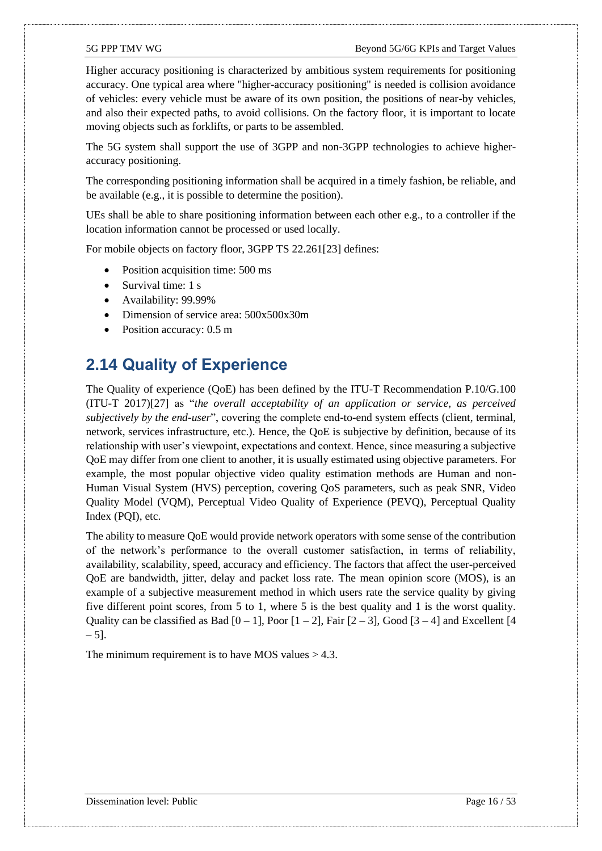Higher accuracy positioning is characterized by ambitious system requirements for positioning accuracy. One typical area where "higher-accuracy positioning" is needed is collision avoidance of vehicles: every vehicle must be aware of its own position, the positions of near-by vehicles, and also their expected paths, to avoid collisions. On the factory floor, it is important to locate moving objects such as forklifts, or parts to be assembled.

The 5G system shall support the use of 3GPP and non-3GPP technologies to achieve higheraccuracy positioning.

The corresponding positioning information shall be acquired in a timely fashion, be reliable, and be available (e.g., it is possible to determine the position).

UEs shall be able to share positioning information between each other e.g., to a controller if the location information cannot be processed or used locally.

For mobile objects on factory floor, 3GPP TS 22.26[1\[23\]](#page-44-0) defines:

- Position acquisition time: 500 ms
- Survival time: 1 s
- Availability: 99.99%
- Dimension of service area: 500x500x30m
- Position accuracy: 0.5 m

#### <span id="page-15-0"></span>**2.14 Quality of Experience**

The Quality of experience (QoE) has been defined by the ITU-T Recommendation P.10/G.100 (ITU-T 2017[\)\[27\]](#page-44-1) as "*the overall acceptability of an application or service, as perceived subjectively by the end-user*", covering the complete end-to-end system effects (client, terminal, network, services infrastructure, etc.). Hence, the QoE is subjective by definition, because of its relationship with user's viewpoint, expectations and context. Hence, since measuring a subjective QoE may differ from one client to another, it is usually estimated using objective parameters. For example, the most popular objective video quality estimation methods are Human and non-Human Visual System (HVS) perception, covering QoS parameters, such as peak SNR, Video Quality Model (VQM), Perceptual Video Quality of Experience (PEVQ), Perceptual Quality Index (PQI), etc.

The ability to measure QoE would provide network operators with some sense of the contribution of the network's performance to the overall customer satisfaction, in terms of reliability, availability, scalability, speed, accuracy and efficiency. The factors that affect the user-perceived QoE are bandwidth, jitter, delay and packet loss rate. The mean opinion score (MOS), is an example of a subjective measurement method in which users rate the service quality by giving five different point scores, from 5 to 1, where 5 is the best quality and 1 is the worst quality. Quality can be classified as Bad  $[0 - 1]$ , Poor  $[1 - 2]$ , Fair  $[2 - 3]$ , Good  $[3 - 4]$  and Excellent  $[4]$  $-5$ ].

The minimum requirement is to have MOS values  $> 4.3$ .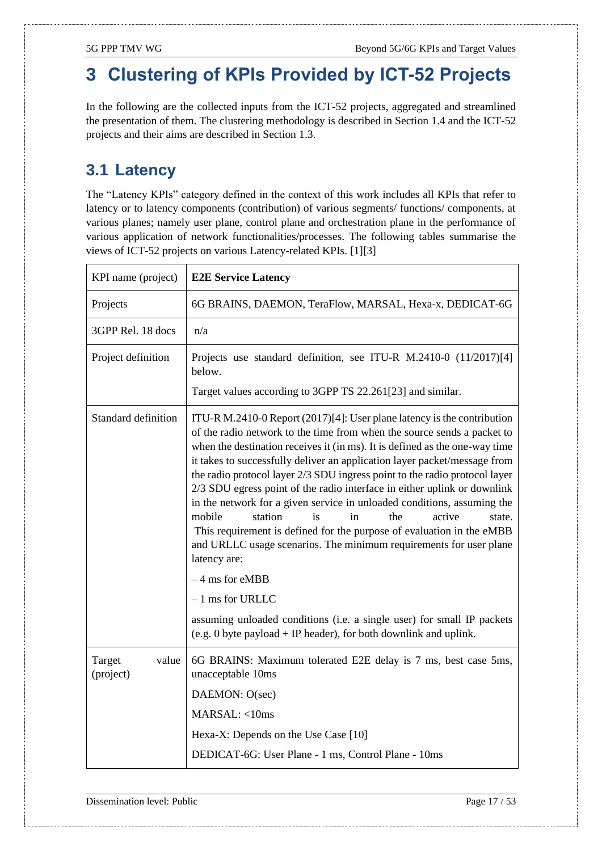## <span id="page-16-0"></span>**3 Clustering of KPIs Provided by ICT-52 Projects**

In the following are the collected inputs from the ICT-52 projects, aggregated and streamlined the presentation of them. The clustering methodology is described in Section [1.4](#page-5-1) and the ICT-52 projects and their aims are described in Section [1.3.](#page-5-0)

### <span id="page-16-1"></span>**3.1 Latency**

The "Latency KPIs" category defined in the context of this work includes all KPIs that refer to latency or to latency components (contribution) of various segments/ functions/ components, at various planes; namely user plane, control plane and orchestration plane in the performance of various application of network functionalities/processes. The following tables summarise the views of ICT-52 projects on various Latency-related KPIs. [\[1\]](#page-43-3)[\[3\]](#page-43-4)

| KPI name (project)           | <b>E2E Service Latency</b>                                                                                                                                                                                                                                                                                                                                                                                                                                                                                                                                                                                                                                                                                                                                                                                                                                                                                                                                               |
|------------------------------|--------------------------------------------------------------------------------------------------------------------------------------------------------------------------------------------------------------------------------------------------------------------------------------------------------------------------------------------------------------------------------------------------------------------------------------------------------------------------------------------------------------------------------------------------------------------------------------------------------------------------------------------------------------------------------------------------------------------------------------------------------------------------------------------------------------------------------------------------------------------------------------------------------------------------------------------------------------------------|
| Projects                     | 6G BRAINS, DAEMON, TeraFlow, MARSAL, Hexa-x, DEDICAT-6G                                                                                                                                                                                                                                                                                                                                                                                                                                                                                                                                                                                                                                                                                                                                                                                                                                                                                                                  |
| 3GPP Rel. 18 docs            | n/a                                                                                                                                                                                                                                                                                                                                                                                                                                                                                                                                                                                                                                                                                                                                                                                                                                                                                                                                                                      |
| Project definition           | Projects use standard definition, see ITU-R M.2410-0 (11/2017)[4]<br>below.                                                                                                                                                                                                                                                                                                                                                                                                                                                                                                                                                                                                                                                                                                                                                                                                                                                                                              |
|                              | Target values according to 3GPP TS 22.261[23] and similar.                                                                                                                                                                                                                                                                                                                                                                                                                                                                                                                                                                                                                                                                                                                                                                                                                                                                                                               |
| <b>Standard definition</b>   | ITU-R M.2410-0 Report $(2017)[4]$ : User plane latency is the contribution<br>of the radio network to the time from when the source sends a packet to<br>when the destination receives it (in ms). It is defined as the one-way time<br>it takes to successfully deliver an application layer packet/message from<br>the radio protocol layer 2/3 SDU ingress point to the radio protocol layer<br>2/3 SDU egress point of the radio interface in either uplink or downlink<br>in the network for a given service in unloaded conditions, assuming the<br>mobile<br>station<br>is<br>the<br>active<br>in<br>state.<br>This requirement is defined for the purpose of evaluation in the eMBB<br>and URLLC usage scenarios. The minimum requirements for user plane<br>latency are:<br>$-4$ ms for eMBB<br>$-1$ ms for URLLC<br>assuming unloaded conditions (i.e. a single user) for small IP packets<br>(e.g. 0 byte payload + IP header), for both downlink and uplink. |
| Target<br>value<br>(project) | 6G BRAINS: Maximum tolerated E2E delay is 7 ms, best case 5ms,<br>unacceptable 10ms                                                                                                                                                                                                                                                                                                                                                                                                                                                                                                                                                                                                                                                                                                                                                                                                                                                                                      |
|                              | DAEMON: O(sec)                                                                                                                                                                                                                                                                                                                                                                                                                                                                                                                                                                                                                                                                                                                                                                                                                                                                                                                                                           |
|                              | MARSAL: <10ms                                                                                                                                                                                                                                                                                                                                                                                                                                                                                                                                                                                                                                                                                                                                                                                                                                                                                                                                                            |
|                              | Hexa-X: Depends on the Use Case [10]                                                                                                                                                                                                                                                                                                                                                                                                                                                                                                                                                                                                                                                                                                                                                                                                                                                                                                                                     |
|                              | DEDICAT-6G: User Plane - 1 ms, Control Plane - 10ms                                                                                                                                                                                                                                                                                                                                                                                                                                                                                                                                                                                                                                                                                                                                                                                                                                                                                                                      |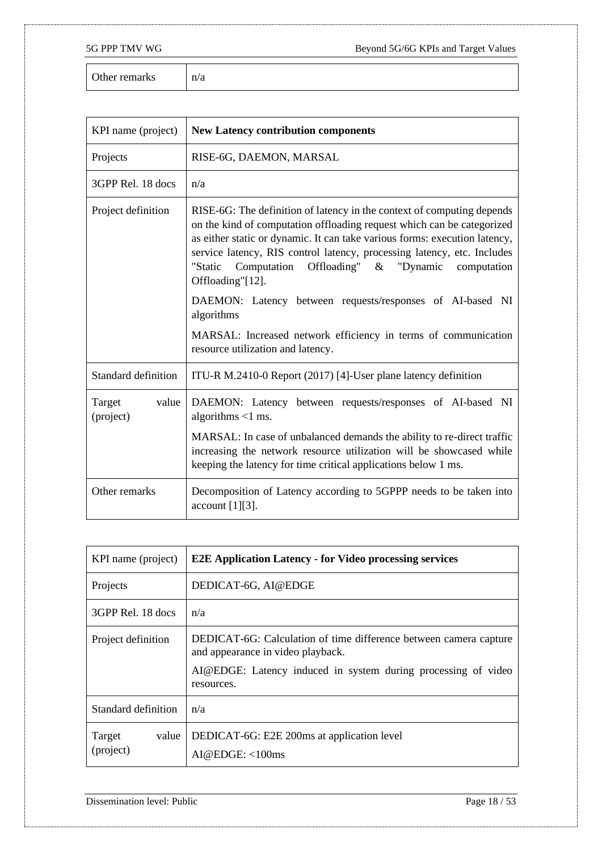Other remarks  $n/a$ 

| KPI name (project)           | <b>New Latency contribution components</b>                                                                                                                                                                                                                                                                                                                                                                                                                                           |
|------------------------------|--------------------------------------------------------------------------------------------------------------------------------------------------------------------------------------------------------------------------------------------------------------------------------------------------------------------------------------------------------------------------------------------------------------------------------------------------------------------------------------|
| Projects                     | RISE-6G, DAEMON, MARSAL                                                                                                                                                                                                                                                                                                                                                                                                                                                              |
| 3GPP Rel. 18 docs            | n/a                                                                                                                                                                                                                                                                                                                                                                                                                                                                                  |
| Project definition           | RISE-6G: The definition of latency in the context of computing depends<br>on the kind of computation offloading request which can be categorized<br>as either static or dynamic. It can take various forms: execution latency,<br>service latency, RIS control latency, processing latency, etc. Includes<br>Offloading"<br>"Static<br>Computation<br>"Dynamic<br>$\&$<br>computation<br>Offloading"[12].<br>DAEMON: Latency between requests/responses of AI-based NI<br>algorithms |
|                              | MARSAL: Increased network efficiency in terms of communication<br>resource utilization and latency.                                                                                                                                                                                                                                                                                                                                                                                  |
| Standard definition          | ITU-R M.2410-0 Report (2017) [4]-User plane latency definition                                                                                                                                                                                                                                                                                                                                                                                                                       |
| Target<br>value<br>(project) | DAEMON: Latency between requests/responses of AI-based NI<br>algorithms $<$ 1 ms.                                                                                                                                                                                                                                                                                                                                                                                                    |
|                              | MARSAL: In case of unbalanced demands the ability to re-direct traffic<br>increasing the network resource utilization will be showcased while<br>keeping the latency for time critical applications below 1 ms.                                                                                                                                                                                                                                                                      |
| Other remarks                | Decomposition of Latency according to 5GPPP needs to be taken into<br>account [1][3].                                                                                                                                                                                                                                                                                                                                                                                                |

| KPI name (project)           | <b>E2E Application Latency - for Video processing services</b>                                                                                                                        |
|------------------------------|---------------------------------------------------------------------------------------------------------------------------------------------------------------------------------------|
| Projects                     | DEDICAT-6G, AI@EDGE                                                                                                                                                                   |
| 3GPP Rel. 18 docs            | n/a                                                                                                                                                                                   |
| Project definition           | DEDICAT-6G: Calculation of time difference between camera capture<br>and appearance in video playback.<br>AI@EDGE: Latency induced in system during processing of video<br>resources. |
| Standard definition          | n/a                                                                                                                                                                                   |
| value<br>Target<br>(project) | DEDICAT-6G: E2E 200ms at application level<br>AI@EDGE: <100ms                                                                                                                         |

Dissemination level: Public Page 18 / 53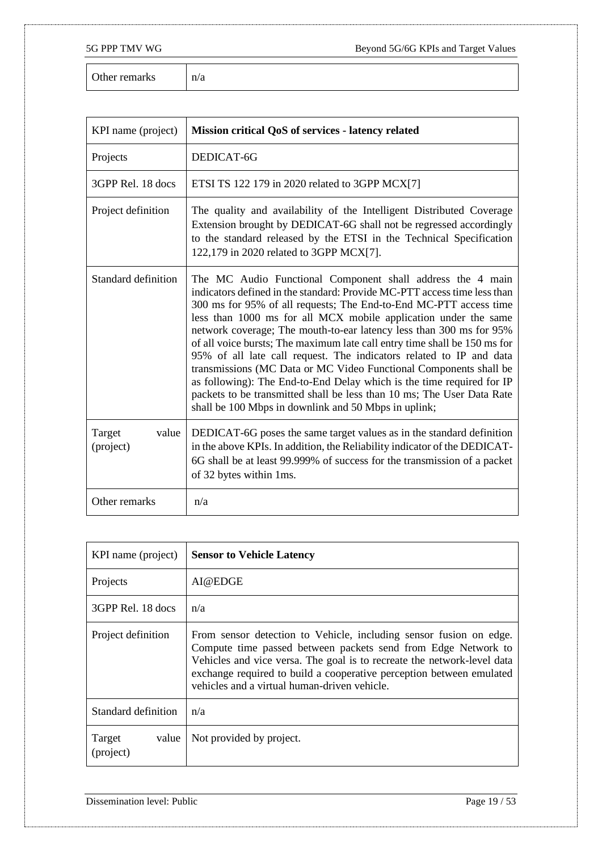Other remarks  $n/a$ 

| KPI name (project)           | Mission critical QoS of services - latency related                                                                                                                                                                                                                                                                                                                                                                                                                                                                                                                                                                                                                                                                                                                                        |
|------------------------------|-------------------------------------------------------------------------------------------------------------------------------------------------------------------------------------------------------------------------------------------------------------------------------------------------------------------------------------------------------------------------------------------------------------------------------------------------------------------------------------------------------------------------------------------------------------------------------------------------------------------------------------------------------------------------------------------------------------------------------------------------------------------------------------------|
| Projects                     | DEDICAT-6G                                                                                                                                                                                                                                                                                                                                                                                                                                                                                                                                                                                                                                                                                                                                                                                |
| 3GPP Rel. 18 docs            | ETSI TS 122 179 in 2020 related to 3GPP MCX[7]                                                                                                                                                                                                                                                                                                                                                                                                                                                                                                                                                                                                                                                                                                                                            |
| Project definition           | The quality and availability of the Intelligent Distributed Coverage<br>Extension brought by DEDICAT-6G shall not be regressed accordingly<br>to the standard released by the ETSI in the Technical Specification<br>122,179 in 2020 related to 3GPP MCX[7].                                                                                                                                                                                                                                                                                                                                                                                                                                                                                                                              |
| Standard definition          | The MC Audio Functional Component shall address the 4 main<br>indicators defined in the standard: Provide MC-PTT access time less than<br>300 ms for 95% of all requests; The End-to-End MC-PTT access time<br>less than 1000 ms for all MCX mobile application under the same<br>network coverage; The mouth-to-ear latency less than 300 ms for 95%<br>of all voice bursts; The maximum late call entry time shall be 150 ms for<br>95% of all late call request. The indicators related to IP and data<br>transmissions (MC Data or MC Video Functional Components shall be<br>as following): The End-to-End Delay which is the time required for IP<br>packets to be transmitted shall be less than 10 ms; The User Data Rate<br>shall be 100 Mbps in downlink and 50 Mbps in uplink; |
| Target<br>value<br>(project) | DEDICAT-6G poses the same target values as in the standard definition<br>in the above KPIs. In addition, the Reliability indicator of the DEDICAT-<br>6G shall be at least 99.999% of success for the transmission of a packet<br>of 32 bytes within 1ms.                                                                                                                                                                                                                                                                                                                                                                                                                                                                                                                                 |
| Other remarks                | n/a                                                                                                                                                                                                                                                                                                                                                                                                                                                                                                                                                                                                                                                                                                                                                                                       |

| KPI name (project)           | <b>Sensor to Vehicle Latency</b>                                                                                                                                                                                                                                                                                                       |
|------------------------------|----------------------------------------------------------------------------------------------------------------------------------------------------------------------------------------------------------------------------------------------------------------------------------------------------------------------------------------|
| Projects                     | AI@EDGE                                                                                                                                                                                                                                                                                                                                |
| 3GPP Rel. 18 docs            | n/a                                                                                                                                                                                                                                                                                                                                    |
| Project definition           | From sensor detection to Vehicle, including sensor fusion on edge.<br>Compute time passed between packets send from Edge Network to<br>Vehicles and vice versa. The goal is to recreate the network-level data<br>exchange required to build a cooperative perception between emulated<br>vehicles and a virtual human-driven vehicle. |
| Standard definition          | n/a                                                                                                                                                                                                                                                                                                                                    |
| Target<br>value<br>(project) | Not provided by project.                                                                                                                                                                                                                                                                                                               |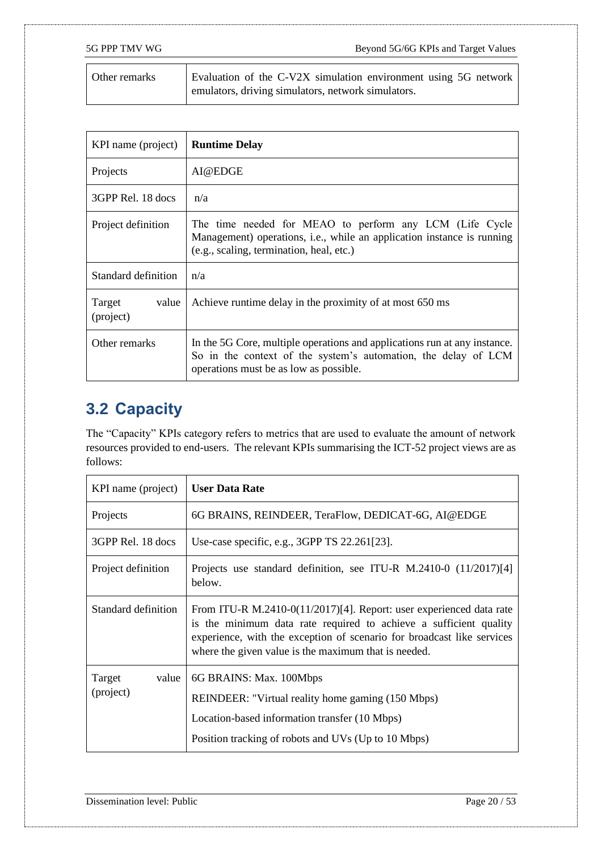| Other remarks | Evaluation of the C-V2X simulation environment using 5G network |
|---------------|-----------------------------------------------------------------|
|               | emulators, driving simulators, network simulators.              |

| KPI name (project)           | <b>Runtime Delay</b>                                                                                                                                                                  |
|------------------------------|---------------------------------------------------------------------------------------------------------------------------------------------------------------------------------------|
| Projects                     | AI@EDGE                                                                                                                                                                               |
| 3GPP Rel. 18 docs            | n/a                                                                                                                                                                                   |
| Project definition           | The time needed for MEAO to perform any LCM (Life Cycle<br>Management) operations, i.e., while an application instance is running<br>(e.g., scaling, termination, heal, etc.)         |
| Standard definition          | n/a                                                                                                                                                                                   |
| Target<br>value<br>(project) | Achieve runtime delay in the proximity of at most 650 ms                                                                                                                              |
| Other remarks                | In the 5G Core, multiple operations and applications run at any instance.<br>So in the context of the system's automation, the delay of LCM<br>operations must be as low as possible. |

## <span id="page-19-0"></span>**3.2 Capacity**

The "Capacity" KPIs category refers to metrics that are used to evaluate the amount of network resources provided to end-users. The relevant KPIs summarising the ICT-52 project views are as follows:

| KPI name (project)           | <b>User Data Rate</b>                                                                                                                                                                                                                                                      |
|------------------------------|----------------------------------------------------------------------------------------------------------------------------------------------------------------------------------------------------------------------------------------------------------------------------|
| Projects                     | 6G BRAINS, REINDEER, TeraFlow, DEDICAT-6G, AI@EDGE                                                                                                                                                                                                                         |
| 3GPP Rel. 18 docs            | Use-case specific, e.g., 3GPP TS 22.261[23].                                                                                                                                                                                                                               |
| Project definition           | Projects use standard definition, see ITU-R M.2410-0 (11/2017)[4]<br>below.                                                                                                                                                                                                |
| Standard definition          | From ITU-R M.2410-0(11/2017)[4]. Report: user experienced data rate<br>is the minimum data rate required to achieve a sufficient quality<br>experience, with the exception of scenario for broadcast like services<br>where the given value is the maximum that is needed. |
| Target<br>value<br>(project) | 6G BRAINS: Max. 100Mbps<br>REINDEER: "Virtual reality home gaming (150 Mbps)<br>Location-based information transfer (10 Mbps)<br>Position tracking of robots and UVs (Up to 10 Mbps)                                                                                       |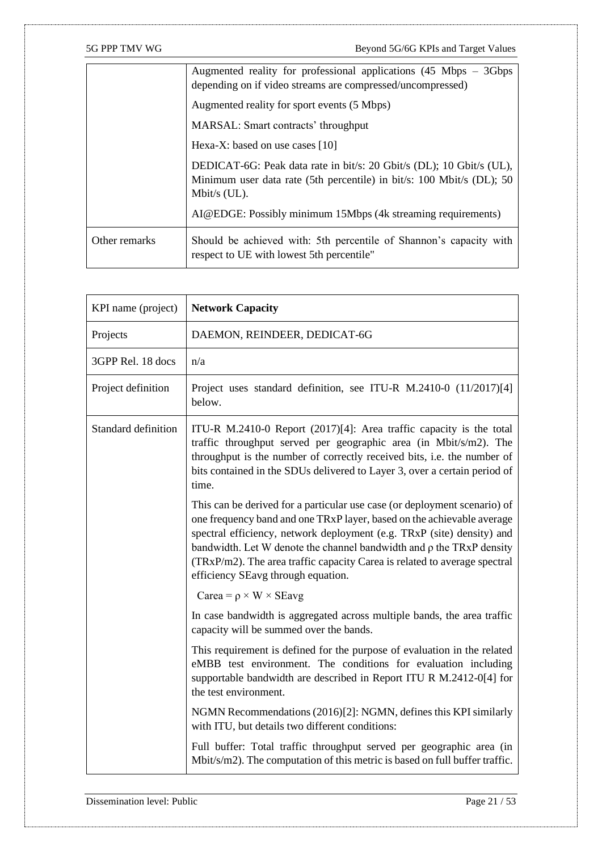|               | Augmented reality for professional applications $(45 \text{ Mbps} - 3 \text{Gbps})$<br>depending on if video streams are compressed/uncompressed)                |
|---------------|------------------------------------------------------------------------------------------------------------------------------------------------------------------|
|               | Augmented reality for sport events (5 Mbps)                                                                                                                      |
|               | MARSAL: Smart contracts' throughput                                                                                                                              |
|               | Hexa-X: based on use cases $[10]$                                                                                                                                |
|               | DEDICAT-6G: Peak data rate in bit/s: 20 Gbit/s (DL); 10 Gbit/s (UL),<br>Minimum user data rate (5th percentile) in bit/s: 100 Mbit/s (DL); 50<br>Mbit/s $(UL)$ . |
|               | AI@EDGE: Possibly minimum 15Mbps (4k streaming requirements)                                                                                                     |
| Other remarks | Should be achieved with: 5th percentile of Shannon's capacity with<br>respect to UE with lowest 5th percentile"                                                  |

| KPI name (project)         | <b>Network Capacity</b>                                                                                                                                                                                                                                                                                                                                                                                                       |
|----------------------------|-------------------------------------------------------------------------------------------------------------------------------------------------------------------------------------------------------------------------------------------------------------------------------------------------------------------------------------------------------------------------------------------------------------------------------|
| Projects                   | DAEMON, REINDEER, DEDICAT-6G                                                                                                                                                                                                                                                                                                                                                                                                  |
| 3GPP Rel. 18 docs          | n/a                                                                                                                                                                                                                                                                                                                                                                                                                           |
| Project definition         | Project uses standard definition, see ITU-R M.2410-0 (11/2017)[4]<br>below.                                                                                                                                                                                                                                                                                                                                                   |
| <b>Standard definition</b> | ITU-R M.2410-0 Report $(2017)[4]$ : Area traffic capacity is the total<br>traffic throughput served per geographic area (in Mbit/s/m2). The<br>throughput is the number of correctly received bits, i.e. the number of<br>bits contained in the SDUs delivered to Layer 3, over a certain period of<br>time.                                                                                                                  |
|                            | This can be derived for a particular use case (or deployment scenario) of<br>one frequency band and one TRxP layer, based on the achievable average<br>spectral efficiency, network deployment (e.g. TRxP (site) density) and<br>bandwidth. Let W denote the channel bandwidth and $\rho$ the TRxP density<br>(TRxP/m2). The area traffic capacity Carea is related to average spectral<br>efficiency SEavg through equation. |
|                            | Carea = $\rho \times W \times$ SEavg                                                                                                                                                                                                                                                                                                                                                                                          |
|                            | In case bandwidth is aggregated across multiple bands, the area traffic<br>capacity will be summed over the bands.                                                                                                                                                                                                                                                                                                            |
|                            | This requirement is defined for the purpose of evaluation in the related<br>eMBB test environment. The conditions for evaluation including<br>supportable bandwidth are described in Report ITU R M.2412-0[4] for<br>the test environment.                                                                                                                                                                                    |
|                            | NGMN Recommendations (2016)[2]: NGMN, defines this KPI similarly<br>with ITU, but details two different conditions:                                                                                                                                                                                                                                                                                                           |
|                            | Full buffer: Total traffic throughput served per geographic area (in<br>Mbit/s/m2). The computation of this metric is based on full buffer traffic.                                                                                                                                                                                                                                                                           |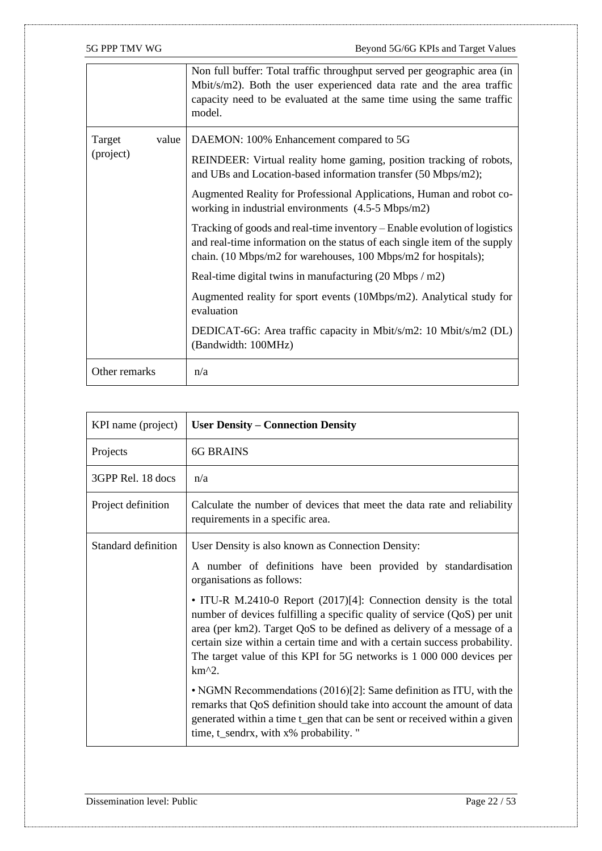|                 | Non full buffer: Total traffic throughput served per geographic area (in<br>Mbit/s/m2). Both the user experienced data rate and the area traffic<br>capacity need to be evaluated at the same time using the same traffic<br>model. |
|-----------------|-------------------------------------------------------------------------------------------------------------------------------------------------------------------------------------------------------------------------------------|
| Target<br>value | DAEMON: 100% Enhancement compared to 5G                                                                                                                                                                                             |
| (project)       | REINDEER: Virtual reality home gaming, position tracking of robots,<br>and UBs and Location-based information transfer (50 Mbps/m2);                                                                                                |
|                 | Augmented Reality for Professional Applications, Human and robot co-<br>working in industrial environments (4.5-5 Mbps/m2)                                                                                                          |
|                 | Tracking of goods and real-time inventory – Enable evolution of logistics<br>and real-time information on the status of each single item of the supply<br>chain. (10 Mbps/m2 for warehouses, 100 Mbps/m2 for hospitals);            |
|                 | Real-time digital twins in manufacturing $(20 \text{ Mbps} / \text{m2})$                                                                                                                                                            |
|                 | Augmented reality for sport events (10Mbps/m2). Analytical study for<br>evaluation                                                                                                                                                  |
|                 | DEDICAT-6G: Area traffic capacity in Mbit/s/m2: 10 Mbit/s/m2 (DL)<br>(Bandwidth: 100MHz)                                                                                                                                            |
| Other remarks   | n/a                                                                                                                                                                                                                                 |

| KPI name (project)  | <b>User Density – Connection Density</b>                                                                                                                                                                                                                                                                                                                                                     |
|---------------------|----------------------------------------------------------------------------------------------------------------------------------------------------------------------------------------------------------------------------------------------------------------------------------------------------------------------------------------------------------------------------------------------|
| Projects            | <b>6G BRAINS</b>                                                                                                                                                                                                                                                                                                                                                                             |
| 3GPP Rel. 18 docs   | n/a                                                                                                                                                                                                                                                                                                                                                                                          |
| Project definition  | Calculate the number of devices that meet the data rate and reliability<br>requirements in a specific area.                                                                                                                                                                                                                                                                                  |
| Standard definition | User Density is also known as Connection Density:                                                                                                                                                                                                                                                                                                                                            |
|                     | A number of definitions have been provided by standardisation<br>organisations as follows:                                                                                                                                                                                                                                                                                                   |
|                     | • ITU-R M.2410-0 Report (2017)[4]: Connection density is the total<br>number of devices fulfilling a specific quality of service (QoS) per unit<br>area (per km2). Target QoS to be defined as delivery of a message of a<br>certain size within a certain time and with a certain success probability.<br>The target value of this KPI for 5G networks is 1 000 000 devices per<br>$km^2$ . |
|                     | • NGMN Recommendations (2016)[2]: Same definition as ITU, with the<br>remarks that QoS definition should take into account the amount of data<br>generated within a time t_gen that can be sent or received within a given<br>time, t_sendrx, with x% probability. "                                                                                                                         |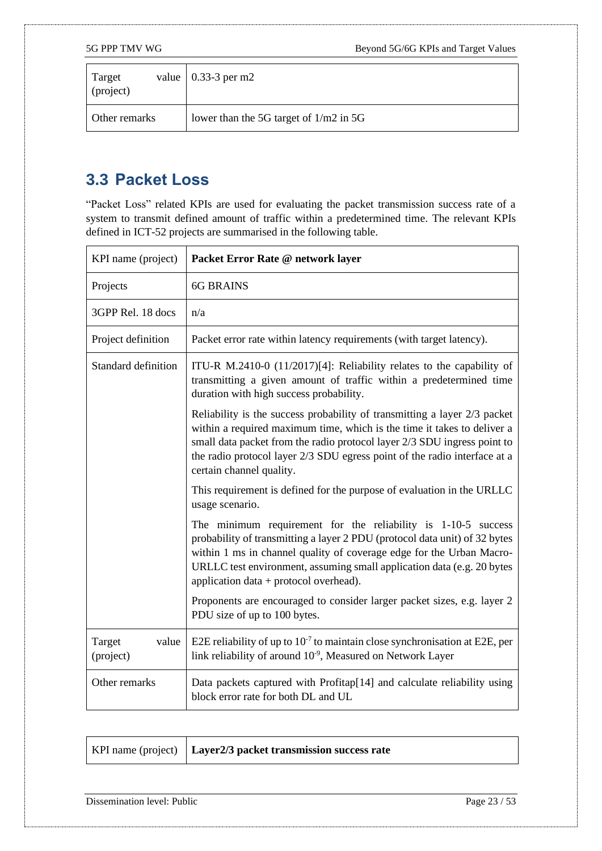| Target<br>(project) | value   $0.33-3$ per m2                  |
|---------------------|------------------------------------------|
| Other remarks       | lower than the 5G target of $1/m2$ in 5G |

### <span id="page-22-0"></span>**3.3 Packet Loss**

"Packet Loss" related KPIs are used for evaluating the packet transmission success rate of a system to transmit defined amount of traffic within a predetermined time. The relevant KPIs defined in ICT-52 projects are summarised in the following table.

| KPI name (project)           | Packet Error Rate @ network layer                                                                                                                                                                                                                                                                                                         |
|------------------------------|-------------------------------------------------------------------------------------------------------------------------------------------------------------------------------------------------------------------------------------------------------------------------------------------------------------------------------------------|
| Projects                     | <b>6G BRAINS</b>                                                                                                                                                                                                                                                                                                                          |
| 3GPP Rel. 18 docs            | n/a                                                                                                                                                                                                                                                                                                                                       |
| Project definition           | Packet error rate within latency requirements (with target latency).                                                                                                                                                                                                                                                                      |
| Standard definition          | ITU-R M.2410-0 (11/2017)[4]: Reliability relates to the capability of<br>transmitting a given amount of traffic within a predetermined time<br>duration with high success probability.                                                                                                                                                    |
|                              | Reliability is the success probability of transmitting a layer 2/3 packet<br>within a required maximum time, which is the time it takes to deliver a<br>small data packet from the radio protocol layer 2/3 SDU ingress point to<br>the radio protocol layer 2/3 SDU egress point of the radio interface at a<br>certain channel quality. |
|                              | This requirement is defined for the purpose of evaluation in the URLLC<br>usage scenario.                                                                                                                                                                                                                                                 |
|                              | The minimum requirement for the reliability is 1-10-5 success<br>probability of transmitting a layer 2 PDU (protocol data unit) of 32 bytes<br>within 1 ms in channel quality of coverage edge for the Urban Macro-<br>URLLC test environment, assuming small application data (e.g. 20 bytes<br>application data + protocol overhead).   |
|                              | Proponents are encouraged to consider larger packet sizes, e.g. layer 2<br>PDU size of up to 100 bytes.                                                                                                                                                                                                                                   |
| Target<br>value<br>(project) | E2E reliability of up to $10^{-7}$ to maintain close synchronisation at E2E, per<br>link reliability of around 10 <sup>-9</sup> , Measured on Network Layer                                                                                                                                                                               |
| Other remarks                | Data packets captured with Profitap[14] and calculate reliability using<br>block error rate for both DL and UL                                                                                                                                                                                                                            |

|  | KPI name (project)   Layer2/3 packet transmission success rate |
|--|----------------------------------------------------------------|
|--|----------------------------------------------------------------|

Dissemination level: Public Page 23 / 53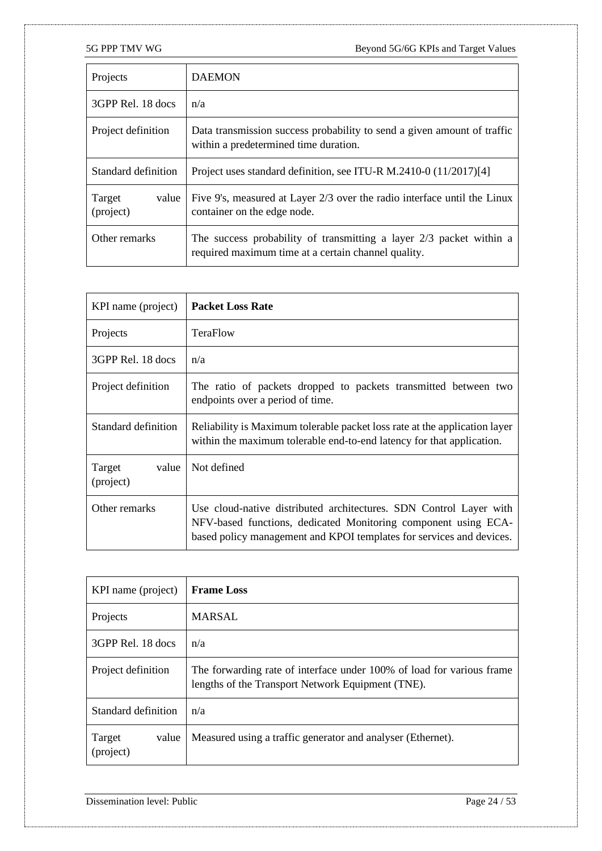| Projects                     | <b>DAEMON</b>                                                                                                                |
|------------------------------|------------------------------------------------------------------------------------------------------------------------------|
| 3GPP Rel. 18 docs            | n/a                                                                                                                          |
| Project definition           | Data transmission success probability to send a given amount of traffic<br>within a predetermined time duration.             |
| Standard definition          | Project uses standard definition, see ITU-R M.2410-0 (11/2017)[4]                                                            |
| Target<br>value<br>(project) | Five 9's, measured at Layer 2/3 over the radio interface until the Linux<br>container on the edge node.                      |
| Other remarks                | The success probability of transmitting a layer $2/3$ packet within a<br>required maximum time at a certain channel quality. |

| KPI name (project)           | <b>Packet Loss Rate</b>                                                                                                                                                                                      |
|------------------------------|--------------------------------------------------------------------------------------------------------------------------------------------------------------------------------------------------------------|
| Projects                     | <b>TeraFlow</b>                                                                                                                                                                                              |
| 3GPP Rel. 18 docs            | n/a                                                                                                                                                                                                          |
| Project definition           | The ratio of packets dropped to packets transmitted between two<br>endpoints over a period of time.                                                                                                          |
| Standard definition          | Reliability is Maximum tolerable packet loss rate at the application layer<br>within the maximum tolerable end-to-end latency for that application.                                                          |
| Target<br>value<br>(project) | Not defined                                                                                                                                                                                                  |
| Other remarks                | Use cloud-native distributed architectures. SDN Control Layer with<br>NFV-based functions, dedicated Monitoring component using ECA-<br>based policy management and KPOI templates for services and devices. |

| KPI name (project)           | <b>Frame Loss</b>                                                                                                          |
|------------------------------|----------------------------------------------------------------------------------------------------------------------------|
| Projects                     | <b>MARSAL</b>                                                                                                              |
| 3GPP Rel. 18 docs            | n/a                                                                                                                        |
| Project definition           | The forwarding rate of interface under 100% of load for various frame<br>lengths of the Transport Network Equipment (TNE). |
| Standard definition          | n/a                                                                                                                        |
| Target<br>value<br>(project) | Measured using a traffic generator and analyser (Ethernet).                                                                |

Dissemination level: Public Page 24 / 53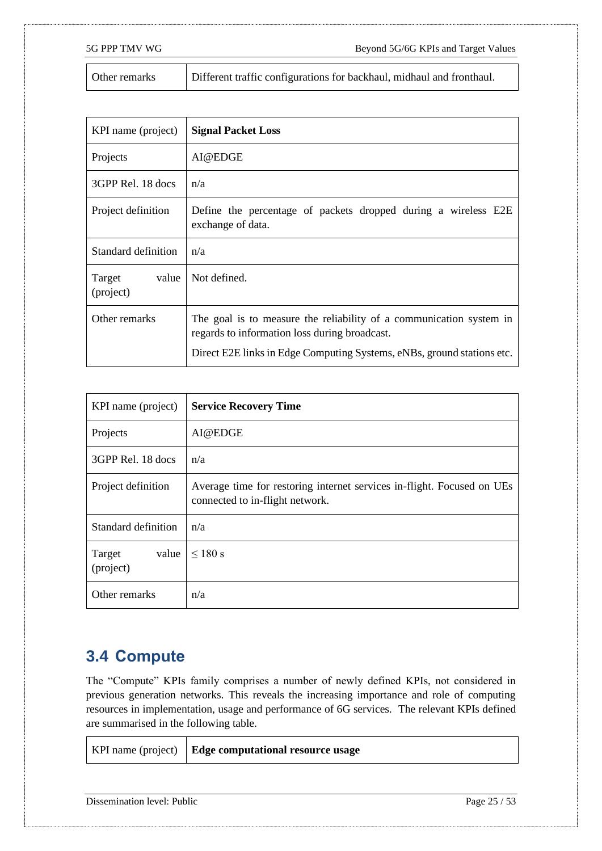T

5G PPP TMV WG Beyond 5G/6G KPIs and Target Values

| Other remarks | Different traffic configurations for backhaul, midhaul and fronthaul. |
|---------------|-----------------------------------------------------------------------|
|---------------|-----------------------------------------------------------------------|

| KPI name (project)           | <b>Signal Packet Loss</b>                                                                                                                                                                      |
|------------------------------|------------------------------------------------------------------------------------------------------------------------------------------------------------------------------------------------|
| Projects                     | AI@EDGE                                                                                                                                                                                        |
| 3GPP Rel. 18 docs            | n/a                                                                                                                                                                                            |
| Project definition           | Define the percentage of packets dropped during a wireless E2E<br>exchange of data.                                                                                                            |
| Standard definition          | n/a                                                                                                                                                                                            |
| Target<br>value<br>(project) | Not defined.                                                                                                                                                                                   |
| Other remarks                | The goal is to measure the reliability of a communication system in<br>regards to information loss during broadcast.<br>Direct E2E links in Edge Computing Systems, eNBs, ground stations etc. |

| KPI name (project)           | <b>Service Recovery Time</b>                                                                              |
|------------------------------|-----------------------------------------------------------------------------------------------------------|
| Projects                     | AI@EDGE                                                                                                   |
| 3GPP Rel. 18 docs            | n/a                                                                                                       |
| Project definition           | Average time for restoring internet services in-flight. Focused on UEs<br>connected to in-flight network. |
| Standard definition          | n/a                                                                                                       |
| value<br>Target<br>(project) | $\leq 180$ s                                                                                              |
| Other remarks                | n/a                                                                                                       |

### <span id="page-24-0"></span>**3.4 Compute**

 $\mathbf{r}$ 

The "Compute" KPIs family comprises a number of newly defined KPIs, not considered in previous generation networks. This reveals the increasing importance and role of computing resources in implementation, usage and performance of 6G services. The relevant KPIs defined are summarised in the following table.

|  | KPI name (project)   Edge computational resource usage |
|--|--------------------------------------------------------|
|--|--------------------------------------------------------|

Dissemination level: Public Page 25 / 53

T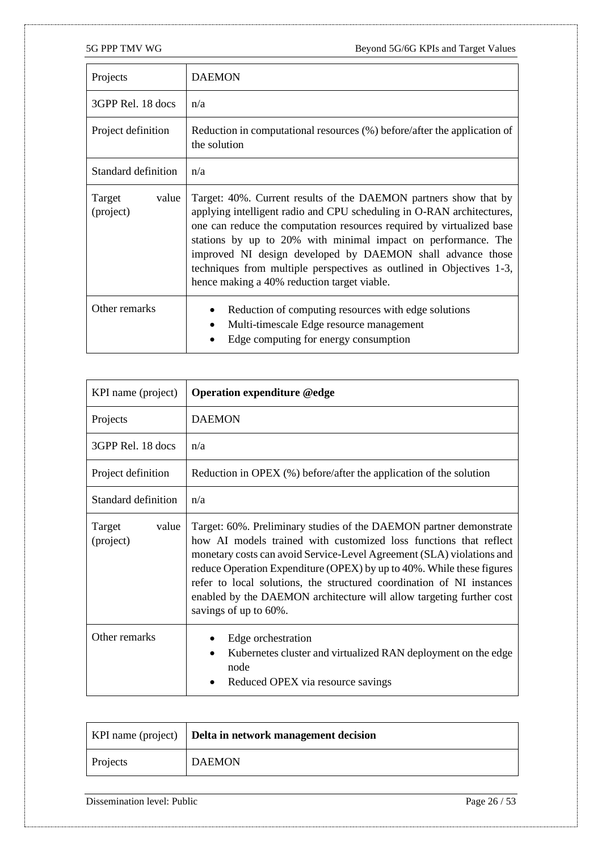| Projects                     | <b>DAEMON</b>                                                                                                                                                                                                                                                                                                                                                                                                                                                            |
|------------------------------|--------------------------------------------------------------------------------------------------------------------------------------------------------------------------------------------------------------------------------------------------------------------------------------------------------------------------------------------------------------------------------------------------------------------------------------------------------------------------|
| 3GPP Rel. 18 docs            | n/a                                                                                                                                                                                                                                                                                                                                                                                                                                                                      |
| Project definition           | Reduction in computational resources (%) before/after the application of<br>the solution                                                                                                                                                                                                                                                                                                                                                                                 |
| Standard definition          | n/a                                                                                                                                                                                                                                                                                                                                                                                                                                                                      |
| value<br>Target<br>(project) | Target: 40%. Current results of the DAEMON partners show that by<br>applying intelligent radio and CPU scheduling in O-RAN architectures,<br>one can reduce the computation resources required by virtualized base<br>stations by up to 20% with minimal impact on performance. The<br>improved NI design developed by DAEMON shall advance those<br>techniques from multiple perspectives as outlined in Objectives 1-3,<br>hence making a 40% reduction target viable. |
| Other remarks                | Reduction of computing resources with edge solutions<br>Multi-timescale Edge resource management<br>Edge computing for energy consumption                                                                                                                                                                                                                                                                                                                                |

| KPI name (project)           | <b>Operation expenditure @edge</b>                                                                                                                                                                                                                                                                                                                                                                                                                                  |
|------------------------------|---------------------------------------------------------------------------------------------------------------------------------------------------------------------------------------------------------------------------------------------------------------------------------------------------------------------------------------------------------------------------------------------------------------------------------------------------------------------|
| Projects                     | <b>DAEMON</b>                                                                                                                                                                                                                                                                                                                                                                                                                                                       |
| 3GPP Rel. 18 docs            | n/a                                                                                                                                                                                                                                                                                                                                                                                                                                                                 |
| Project definition           | Reduction in OPEX (%) before/after the application of the solution                                                                                                                                                                                                                                                                                                                                                                                                  |
| Standard definition          | n/a                                                                                                                                                                                                                                                                                                                                                                                                                                                                 |
| Target<br>value<br>(project) | Target: 60%. Preliminary studies of the DAEMON partner demonstrate<br>how AI models trained with customized loss functions that reflect<br>monetary costs can avoid Service-Level Agreement (SLA) violations and<br>reduce Operation Expenditure (OPEX) by up to 40%. While these figures<br>refer to local solutions, the structured coordination of NI instances<br>enabled by the DAEMON architecture will allow targeting further cost<br>savings of up to 60%. |
| Other remarks                | Edge orchestration<br>Kubernetes cluster and virtualized RAN deployment on the edge<br>node<br>Reduced OPEX via resource savings                                                                                                                                                                                                                                                                                                                                    |

|          | KPI name (project)   Delta in network management decision |
|----------|-----------------------------------------------------------|
| Projects | <b>DAEMON</b>                                             |

Dissemination level: Public Page 26 / 53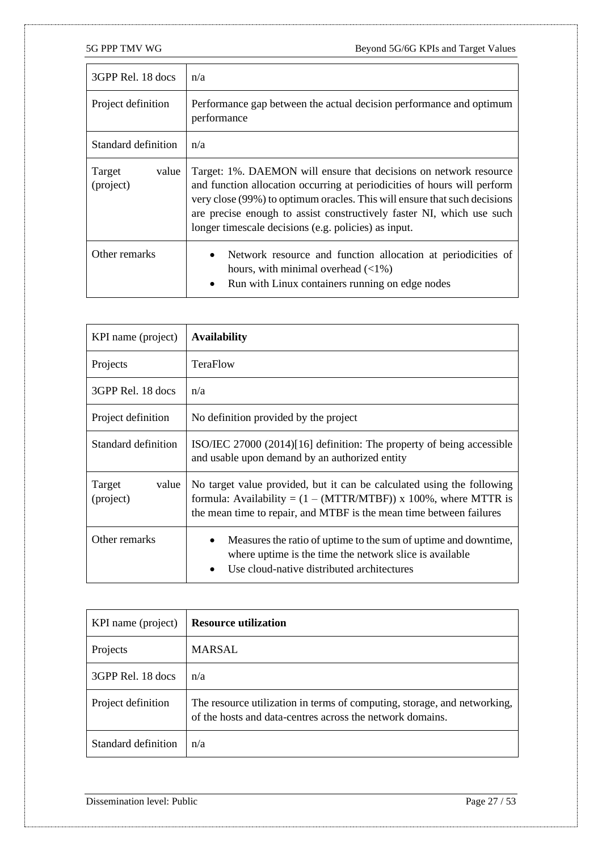| 3GPP Rel. 18 docs            | n/a                                                                                                                                                                                                                                                                                                                                                         |
|------------------------------|-------------------------------------------------------------------------------------------------------------------------------------------------------------------------------------------------------------------------------------------------------------------------------------------------------------------------------------------------------------|
| Project definition           | Performance gap between the actual decision performance and optimum<br>performance                                                                                                                                                                                                                                                                          |
| Standard definition          | n/a                                                                                                                                                                                                                                                                                                                                                         |
| value<br>Target<br>(project) | Target: 1%. DAEMON will ensure that decisions on network resource<br>and function allocation occurring at periodicities of hours will perform<br>very close (99%) to optimum oracles. This will ensure that such decisions<br>are precise enough to assist constructively faster NI, which use such<br>longer timescale decisions (e.g. policies) as input. |
| Other remarks                | Network resource and function allocation at periodicities of<br>$\bullet$<br>hours, with minimal overhead $(\langle 1\% \rangle)$<br>Run with Linux containers running on edge nodes<br>$\bullet$                                                                                                                                                           |

| KPI name (project)           | <b>Availability</b>                                                                                                                                                                                                |
|------------------------------|--------------------------------------------------------------------------------------------------------------------------------------------------------------------------------------------------------------------|
| Projects                     | TeraFlow                                                                                                                                                                                                           |
| 3GPP Rel. 18 docs            | n/a                                                                                                                                                                                                                |
| Project definition           | No definition provided by the project                                                                                                                                                                              |
| Standard definition          | ISO/IEC 27000 (2014)[16] definition: The property of being accessible<br>and usable upon demand by an authorized entity                                                                                            |
| Target<br>value<br>(project) | No target value provided, but it can be calculated using the following<br>formula: Availability = $(1 - (MTTR/MTBF))$ x 100%, where MTTR is<br>the mean time to repair, and MTBF is the mean time between failures |
| Other remarks                | Measures the ratio of uptime to the sum of uptime and downtime,<br>where uptime is the time the network slice is available<br>Use cloud-native distributed architectures                                           |

| KPI name (project)  | <b>Resource utilization</b>                                                                                                           |
|---------------------|---------------------------------------------------------------------------------------------------------------------------------------|
| Projects            | MARSAL                                                                                                                                |
| 3GPP Rel. 18 docs   | n/a                                                                                                                                   |
| Project definition  | The resource utilization in terms of computing, storage, and networking,<br>of the hosts and data-centres across the network domains. |
| Standard definition | n/a                                                                                                                                   |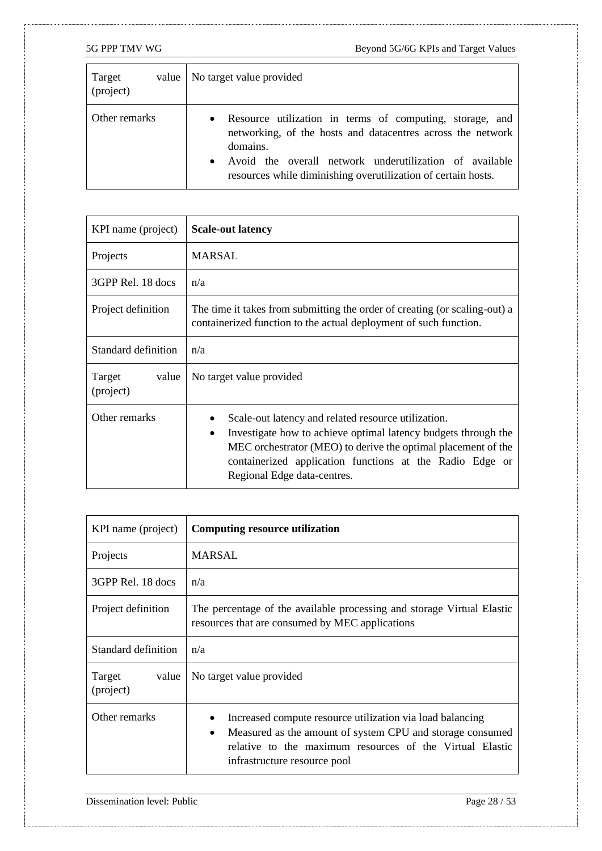| Target<br>value<br>(project) | No target value provided                                                                                                                                                                                                                                                     |
|------------------------------|------------------------------------------------------------------------------------------------------------------------------------------------------------------------------------------------------------------------------------------------------------------------------|
| Other remarks                | Resource utilization in terms of computing, storage, and<br>$\bullet$<br>networking, of the hosts and datacentres across the network<br>domains.<br>Avoid the overall network underutilization of available<br>resources while diminishing overutilization of certain hosts. |

| KPI name (project)           | <b>Scale-out latency</b>                                                                                                                                                                                                                                                               |
|------------------------------|----------------------------------------------------------------------------------------------------------------------------------------------------------------------------------------------------------------------------------------------------------------------------------------|
| Projects                     | MARSAL                                                                                                                                                                                                                                                                                 |
| 3GPP Rel. 18 docs            | n/a                                                                                                                                                                                                                                                                                    |
| Project definition           | The time it takes from submitting the order of creating (or scaling-out) a<br>containerized function to the actual deployment of such function.                                                                                                                                        |
| Standard definition          | n/a                                                                                                                                                                                                                                                                                    |
| Target<br>value<br>(project) | No target value provided                                                                                                                                                                                                                                                               |
| Other remarks                | Scale-out latency and related resource utilization.<br>Investigate how to achieve optimal latency budgets through the<br>٠<br>MEC orchestrator (MEO) to derive the optimal placement of the<br>containerized application functions at the Radio Edge or<br>Regional Edge data-centres. |

| KPI name (project)           | <b>Computing resource utilization</b>                                                                                                                                                                                           |
|------------------------------|---------------------------------------------------------------------------------------------------------------------------------------------------------------------------------------------------------------------------------|
| Projects                     | <b>MARSAL</b>                                                                                                                                                                                                                   |
| 3GPP Rel. 18 docs            | n/a                                                                                                                                                                                                                             |
| Project definition           | The percentage of the available processing and storage Virtual Elastic<br>resources that are consumed by MEC applications                                                                                                       |
| Standard definition          | n/a                                                                                                                                                                                                                             |
| Target<br>value<br>(project) | No target value provided                                                                                                                                                                                                        |
| Other remarks                | Increased compute resource utilization via load balancing<br>Measured as the amount of system CPU and storage consumed<br>$\bullet$<br>relative to the maximum resources of the Virtual Elastic<br>infrastructure resource pool |

Dissemination level: Public Page 28 / 53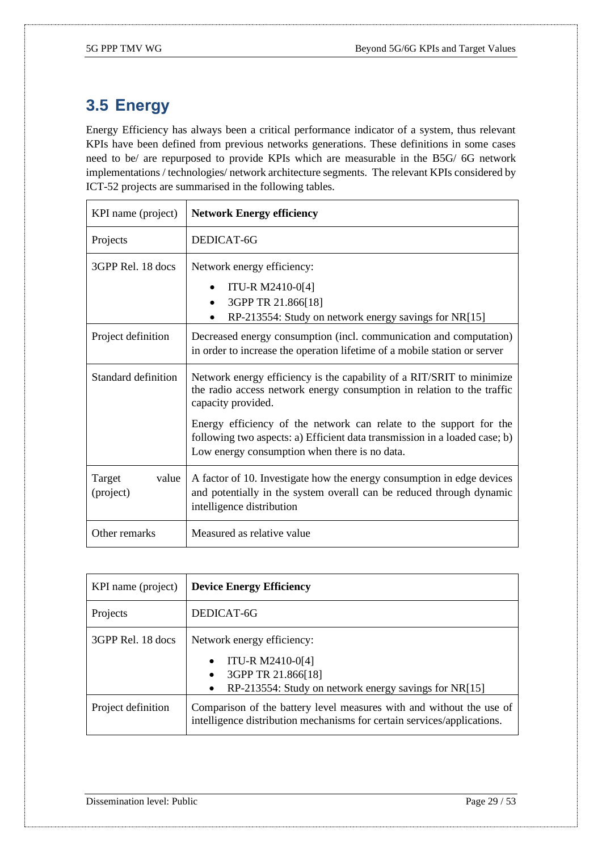## <span id="page-28-0"></span>**3.5 Energy**

Energy Efficiency has always been a critical performance indicator of a system, thus relevant KPIs have been defined from previous networks generations. These definitions in some cases need to be/ are repurposed to provide KPIs which are measurable in the B5G/ 6G network implementations / technologies/ network architecture segments. The relevant KPIs considered by ICT-52 projects are summarised in the following tables.

| KPI name (project)           | <b>Network Energy efficiency</b>                                                                                                                                                                  |
|------------------------------|---------------------------------------------------------------------------------------------------------------------------------------------------------------------------------------------------|
| Projects                     | DEDICAT-6G                                                                                                                                                                                        |
| 3GPP Rel. 18 docs            | Network energy efficiency:<br>ITU-R M2410-0[4]<br>$\bullet$<br>3GPP TR 21.866[18]<br>$\bullet$<br>RP-213554: Study on network energy savings for NR[15]                                           |
| Project definition           | Decreased energy consumption (incl. communication and computation)<br>in order to increase the operation lifetime of a mobile station or server                                                   |
| Standard definition          | Network energy efficiency is the capability of a RIT/SRIT to minimize<br>the radio access network energy consumption in relation to the traffic<br>capacity provided.                             |
|                              | Energy efficiency of the network can relate to the support for the<br>following two aspects: a) Efficient data transmission in a loaded case; b)<br>Low energy consumption when there is no data. |
| Target<br>value<br>(project) | A factor of 10. Investigate how the energy consumption in edge devices<br>and potentially in the system overall can be reduced through dynamic<br>intelligence distribution                       |
| Other remarks                | Measured as relative value                                                                                                                                                                        |

| KPI name (project) | <b>Device Energy Efficiency</b>                                                                                                                 |
|--------------------|-------------------------------------------------------------------------------------------------------------------------------------------------|
| Projects           | DEDICAT-6G                                                                                                                                      |
| 3GPP Rel. 18 docs  | Network energy efficiency:<br>ITU-R M2410-0[4]<br>3GPP TR 21.866[18]<br>RP-213554: Study on network energy savings for NR[15]<br>$\bullet$      |
| Project definition | Comparison of the battery level measures with and without the use of<br>intelligence distribution mechanisms for certain services/applications. |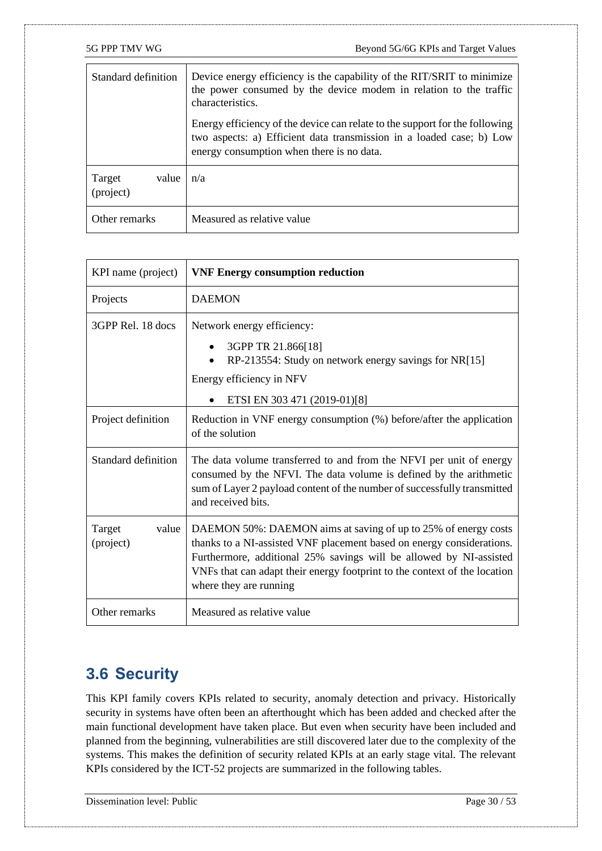| Standard definition          | Device energy efficiency is the capability of the RIT/SRIT to minimize<br>the power consumed by the device modem in relation to the traffic<br>characteristics.                                  |
|------------------------------|--------------------------------------------------------------------------------------------------------------------------------------------------------------------------------------------------|
|                              | Energy efficiency of the device can relate to the support for the following<br>two aspects: a) Efficient data transmission in a loaded case; b) Low<br>energy consumption when there is no data. |
| value<br>Target<br>(project) | n/a                                                                                                                                                                                              |
| Other remarks                | Measured as relative value                                                                                                                                                                       |

| KPI name (project)           | <b>VNF Energy consumption reduction</b>                                                                                                                                                                                                                                                                              |
|------------------------------|----------------------------------------------------------------------------------------------------------------------------------------------------------------------------------------------------------------------------------------------------------------------------------------------------------------------|
| Projects                     | <b>DAEMON</b>                                                                                                                                                                                                                                                                                                        |
| 3GPP Rel. 18 docs            | Network energy efficiency:<br>3GPP TR 21.866[18]<br>$\bullet$<br>RP-213554: Study on network energy savings for NR[15]<br>Energy efficiency in NFV<br>ETSI EN 303 471 (2019-01)[8]                                                                                                                                   |
| Project definition           | Reduction in VNF energy consumption (%) before/after the application<br>of the solution                                                                                                                                                                                                                              |
| Standard definition          | The data volume transferred to and from the NFVI per unit of energy<br>consumed by the NFVI. The data volume is defined by the arithmetic<br>sum of Layer 2 payload content of the number of successfully transmitted<br>and received bits.                                                                          |
| Target<br>value<br>(project) | DAEMON 50%: DAEMON aims at saving of up to 25% of energy costs<br>thanks to a NI-assisted VNF placement based on energy considerations.<br>Furthermore, additional 25% savings will be allowed by NI-assisted<br>VNFs that can adapt their energy footprint to the context of the location<br>where they are running |
| Other remarks                | Measured as relative value                                                                                                                                                                                                                                                                                           |

### <span id="page-29-0"></span>**3.6 Security**

This KPI family covers KPIs related to security, anomaly detection and privacy. Historically security in systems have often been an afterthought which has been added and checked after the main functional development have taken place. But even when security have been included and planned from the beginning, vulnerabilities are still discovered later due to the complexity of the systems. This makes the definition of security related KPIs at an early stage vital. The relevant KPIs considered by the ICT-52 projects are summarized in the following tables.

Dissemination level: Public Page 30 / 53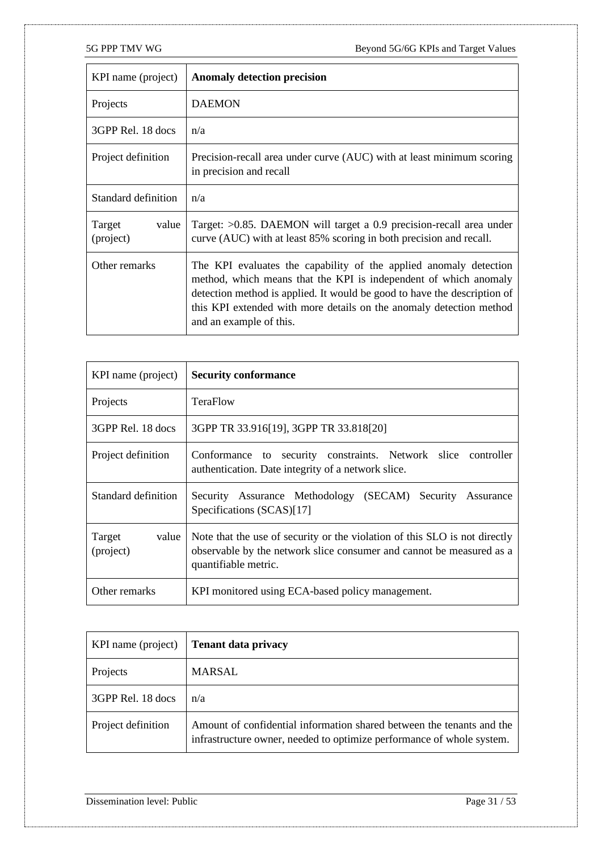| KPI name (project)           | <b>Anomaly detection precision</b>                                                                                                                                                                                                                                                                                  |
|------------------------------|---------------------------------------------------------------------------------------------------------------------------------------------------------------------------------------------------------------------------------------------------------------------------------------------------------------------|
| Projects                     | <b>DAEMON</b>                                                                                                                                                                                                                                                                                                       |
| 3GPP Rel. 18 docs            | n/a                                                                                                                                                                                                                                                                                                                 |
| Project definition           | Precision-recall area under curve (AUC) with at least minimum scoring<br>in precision and recall                                                                                                                                                                                                                    |
| Standard definition          | n/a                                                                                                                                                                                                                                                                                                                 |
| Target<br>value<br>(project) | Target: $>0.85$ . DAEMON will target a 0.9 precision-recall area under<br>curve (AUC) with at least 85% scoring in both precision and recall.                                                                                                                                                                       |
| Other remarks                | The KPI evaluates the capability of the applied anomaly detection<br>method, which means that the KPI is independent of which anomaly<br>detection method is applied. It would be good to have the description of<br>this KPI extended with more details on the anomaly detection method<br>and an example of this. |

| KPI name (project)           | <b>Security conformance</b>                                                                                                                                                |
|------------------------------|----------------------------------------------------------------------------------------------------------------------------------------------------------------------------|
| Projects                     | TeraFlow                                                                                                                                                                   |
| 3GPP Rel. 18 docs            | 3GPP TR 33.916[19], 3GPP TR 33.818[20]                                                                                                                                     |
| Project definition           | Conformance to security constraints. Network slice controller<br>authentication. Date integrity of a network slice.                                                        |
| Standard definition          | Security Assurance Methodology (SECAM) Security<br>Assurance<br>Specifications (SCAS)[17]                                                                                  |
| Target<br>value<br>(project) | Note that the use of security or the violation of this SLO is not directly<br>observable by the network slice consumer and cannot be measured as a<br>quantifiable metric. |
| Other remarks                | KPI monitored using ECA-based policy management.                                                                                                                           |

| KPI name (project) | <b>Tenant data privacy</b>                                                                                                                     |
|--------------------|------------------------------------------------------------------------------------------------------------------------------------------------|
| Projects           | <b>MARSAL</b>                                                                                                                                  |
| 3GPP Rel. 18 docs  | n/a                                                                                                                                            |
| Project definition | Amount of confidential information shared between the tenants and the<br>infrastructure owner, needed to optimize performance of whole system. |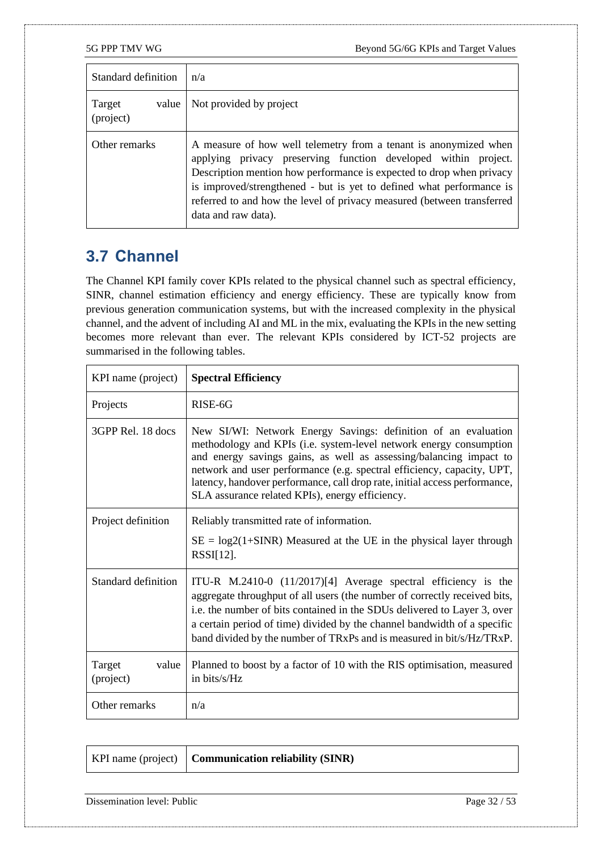| Standard definition          | n/a                                                                                                                                                                                                                                                                                                                                                                                 |
|------------------------------|-------------------------------------------------------------------------------------------------------------------------------------------------------------------------------------------------------------------------------------------------------------------------------------------------------------------------------------------------------------------------------------|
| Target<br>value<br>(project) | Not provided by project                                                                                                                                                                                                                                                                                                                                                             |
| Other remarks                | A measure of how well telemetry from a tenant is anonymized when<br>applying privacy preserving function developed within project.<br>Description mention how performance is expected to drop when privacy<br>is improved/strengthened - but is yet to defined what performance is<br>referred to and how the level of privacy measured (between transferred<br>data and raw data). |

## <span id="page-31-0"></span>**3.7 Channel**

The Channel KPI family cover KPIs related to the physical channel such as spectral efficiency, SINR, channel estimation efficiency and energy efficiency. These are typically know from previous generation communication systems, but with the increased complexity in the physical channel, and the advent of including AI and ML in the mix, evaluating the KPIs in the new setting becomes more relevant than ever. The relevant KPIs considered by ICT-52 projects are summarised in the following tables.

| KPI name (project)           | <b>Spectral Efficiency</b>                                                                                                                                                                                                                                                                                                                                                                                            |
|------------------------------|-----------------------------------------------------------------------------------------------------------------------------------------------------------------------------------------------------------------------------------------------------------------------------------------------------------------------------------------------------------------------------------------------------------------------|
| Projects                     | RISE-6G                                                                                                                                                                                                                                                                                                                                                                                                               |
| 3GPP Rel. 18 docs            | New SI/WI: Network Energy Savings: definition of an evaluation<br>methodology and KPIs (i.e. system-level network energy consumption<br>and energy savings gains, as well as assessing/balancing impact to<br>network and user performance (e.g. spectral efficiency, capacity, UPT,<br>latency, handover performance, call drop rate, initial access performance,<br>SLA assurance related KPIs), energy efficiency. |
| Project definition           | Reliably transmitted rate of information.<br>$SE = log2(1+SINR)$ Measured at the UE in the physical layer through<br>$RSSI[12]$ .                                                                                                                                                                                                                                                                                     |
| Standard definition          | ITU-R $M.2410-0$ (11/2017)[4] Average spectral efficiency is the<br>aggregate throughput of all users (the number of correctly received bits,<br>i.e. the number of bits contained in the SDUs delivered to Layer 3, over<br>a certain period of time) divided by the channel bandwidth of a specific<br>band divided by the number of TRxPs and is measured in bit/s/Hz/TRxP.                                        |
| Target<br>value<br>(project) | Planned to boost by a factor of 10 with the RIS optimisation, measured<br>in bits/ $s/Hz$                                                                                                                                                                                                                                                                                                                             |
| Other remarks                | n/a                                                                                                                                                                                                                                                                                                                                                                                                                   |

|  | KPI name (project)   <b>Communication reliability (SINR)</b> |
|--|--------------------------------------------------------------|
|--|--------------------------------------------------------------|

Dissemination level: Public Page 32 / 53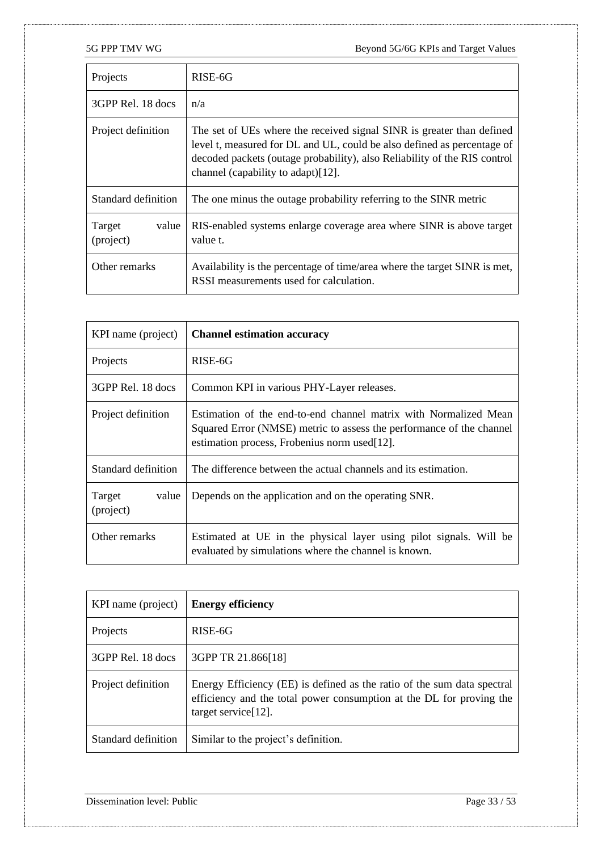| Projects                     | RISE-6G                                                                                                                                                                                                                                                             |
|------------------------------|---------------------------------------------------------------------------------------------------------------------------------------------------------------------------------------------------------------------------------------------------------------------|
| 3GPP Rel. 18 docs            | n/a                                                                                                                                                                                                                                                                 |
| Project definition           | The set of UEs where the received signal SINR is greater than defined<br>level t, measured for DL and UL, could be also defined as percentage of<br>decoded packets (outage probability), also Reliability of the RIS control<br>channel (capability to adapt)[12]. |
| Standard definition          | The one minus the outage probability referring to the SINR metric                                                                                                                                                                                                   |
| Target<br>value<br>(project) | RIS-enabled systems enlarge coverage area where SINR is above target<br>value t.                                                                                                                                                                                    |
| Other remarks                | Availability is the percentage of time/area where the target SINR is met,<br>RSSI measurements used for calculation.                                                                                                                                                |

| KPI name (project)           | <b>Channel estimation accuracy</b>                                                                                                                                                       |
|------------------------------|------------------------------------------------------------------------------------------------------------------------------------------------------------------------------------------|
| Projects                     | RISE-6G                                                                                                                                                                                  |
| 3GPP Rel. 18 docs            | Common KPI in various PHY-Layer releases.                                                                                                                                                |
| Project definition           | Estimation of the end-to-end channel matrix with Normalized Mean<br>Squared Error (NMSE) metric to assess the performance of the channel<br>estimation process, Frobenius norm used[12]. |
| Standard definition          | The difference between the actual channels and its estimation.                                                                                                                           |
| Target<br>value<br>(project) | Depends on the application and on the operating SNR.                                                                                                                                     |
| Other remarks                | Estimated at UE in the physical layer using pilot signals. Will be<br>evaluated by simulations where the channel is known.                                                               |

| KPI name (project)  | <b>Energy efficiency</b>                                                                                                                                                   |
|---------------------|----------------------------------------------------------------------------------------------------------------------------------------------------------------------------|
| Projects            | RISE-6G                                                                                                                                                                    |
| 3GPP Rel. 18 docs   | 3GPP TR 21.866[18]                                                                                                                                                         |
| Project definition  | Energy Efficiency (EE) is defined as the ratio of the sum data spectral<br>efficiency and the total power consumption at the DL for proving the<br>target service $[12]$ . |
| Standard definition | Similar to the project's definition.                                                                                                                                       |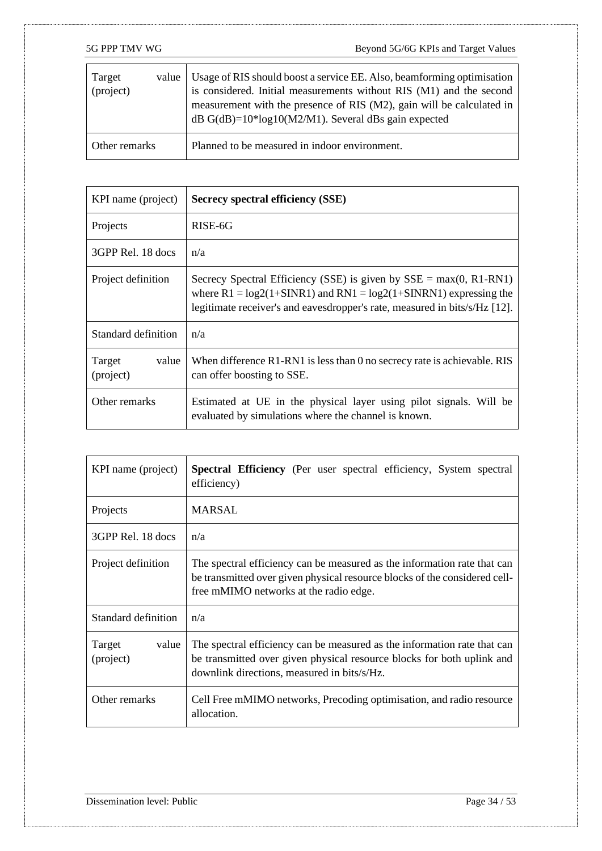| Target<br>value  <br>(project) | Usage of RIS should boost a service EE. Also, beamforming optimisation<br>is considered. Initial measurements without RIS (M1) and the second<br>measurement with the presence of RIS (M2), gain will be calculated in<br>dB $G(dB)=10*log10(M2/M1)$ . Several dBs gain expected |
|--------------------------------|----------------------------------------------------------------------------------------------------------------------------------------------------------------------------------------------------------------------------------------------------------------------------------|
| Other remarks                  | Planned to be measured in indoor environment.                                                                                                                                                                                                                                    |

| KPI name (project)           | <b>Secrecy spectral efficiency (SSE)</b>                                                                                                                                                                                  |
|------------------------------|---------------------------------------------------------------------------------------------------------------------------------------------------------------------------------------------------------------------------|
| Projects                     | RISE-6G                                                                                                                                                                                                                   |
| 3GPP Rel. 18 docs            | n/a                                                                                                                                                                                                                       |
| Project definition           | Secrecy Spectral Efficiency (SSE) is given by $SSE = max(0, R1-RM)$<br>where $R1 = log2(1+SINR1)$ and $RNI = log2(1+SINRN1)$ expressing the<br>legitimate receiver's and eavesdropper's rate, measured in bits/s/Hz [12]. |
| Standard definition          | n/a                                                                                                                                                                                                                       |
| Target<br>value<br>(project) | When difference R1-RN1 is less than 0 no secrecy rate is achievable. RIS<br>can offer boosting to SSE.                                                                                                                    |
| Other remarks                | Estimated at UE in the physical layer using pilot signals. Will be<br>evaluated by simulations where the channel is known.                                                                                                |

| KPI name (project)           | Spectral Efficiency (Per user spectral efficiency, System spectral<br>efficiency)                                                                                                                 |
|------------------------------|---------------------------------------------------------------------------------------------------------------------------------------------------------------------------------------------------|
| Projects                     | MARSAL                                                                                                                                                                                            |
| 3GPP Rel. 18 docs            | n/a                                                                                                                                                                                               |
| Project definition           | The spectral efficiency can be measured as the information rate that can<br>be transmitted over given physical resource blocks of the considered cell-<br>free mMIMO networks at the radio edge.  |
| Standard definition          | n/a                                                                                                                                                                                               |
| Target<br>value<br>(project) | The spectral efficiency can be measured as the information rate that can<br>be transmitted over given physical resource blocks for both uplink and<br>downlink directions, measured in bits/s/Hz. |
| Other remarks                | Cell Free mMIMO networks, Precoding optimisation, and radio resource<br>allocation.                                                                                                               |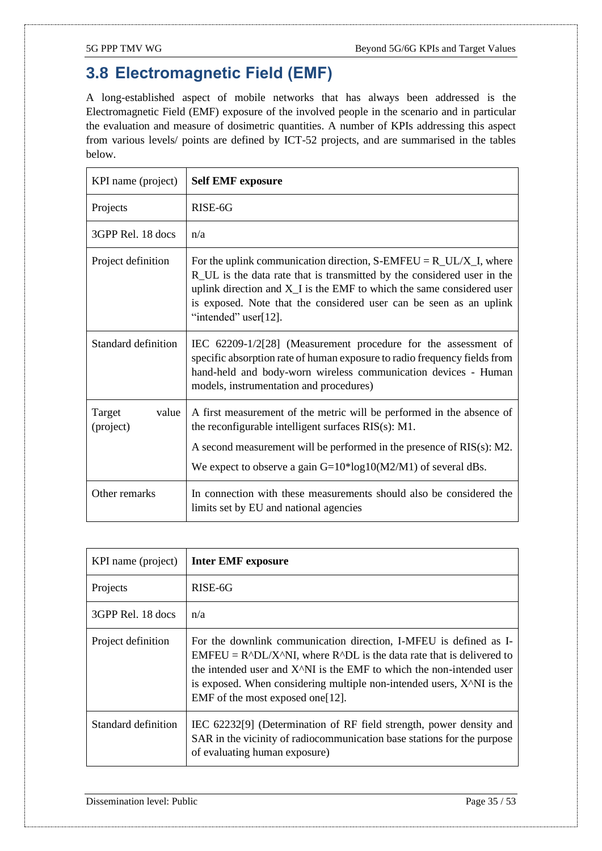### <span id="page-34-0"></span>**3.8 Electromagnetic Field (EMF)**

A long-established aspect of mobile networks that has always been addressed is the Electromagnetic Field (EMF) exposure of the involved people in the scenario and in particular the evaluation and measure of dosimetric quantities. A number of KPIs addressing this aspect from various levels/ points are defined by ICT-52 projects, and are summarised in the tables below.

| KPI name (project)           | <b>Self EMF</b> exposure                                                                                                                                                                                                                                                                                                             |
|------------------------------|--------------------------------------------------------------------------------------------------------------------------------------------------------------------------------------------------------------------------------------------------------------------------------------------------------------------------------------|
| Projects                     | RISE-6G                                                                                                                                                                                                                                                                                                                              |
| 3GPP Rel. 18 docs            | n/a                                                                                                                                                                                                                                                                                                                                  |
| Project definition           | For the uplink communication direction, $S$ -EMFEU = $R_UL/X_L$ , where<br>R_UL is the data rate that is transmitted by the considered user in the<br>uplink direction and X <sub>I</sub> is the EMF to which the same considered user<br>is exposed. Note that the considered user can be seen as an uplink<br>"intended" user[12]. |
| Standard definition          | IEC 62209-1/2[28] (Measurement procedure for the assessment of<br>specific absorption rate of human exposure to radio frequency fields from<br>hand-held and body-worn wireless communication devices - Human<br>models, instrumentation and procedures)                                                                             |
| Target<br>value<br>(project) | A first measurement of the metric will be performed in the absence of<br>the reconfigurable intelligent surfaces $RIS(s)$ : M1.<br>A second measurement will be performed in the presence of $RIS(s)$ : M2.<br>We expect to observe a gain $G=10*log10(M2/M1)$ of several dBs.                                                       |
| Other remarks                | In connection with these measurements should also be considered the<br>limits set by EU and national agencies                                                                                                                                                                                                                        |

| KPI name (project)  | <b>Inter EMF exposure</b>                                                                                                                                                                                                                                                                                                                                             |
|---------------------|-----------------------------------------------------------------------------------------------------------------------------------------------------------------------------------------------------------------------------------------------------------------------------------------------------------------------------------------------------------------------|
| Projects            | RISE-6G                                                                                                                                                                                                                                                                                                                                                               |
| 3GPP Rel. 18 docs   | n/a                                                                                                                                                                                                                                                                                                                                                                   |
| Project definition  | For the downlink communication direction, I-MFEU is defined as I-<br>$EMFEU = R^D L/X^N$ , where $R^D L$ is the data rate that is delivered to<br>the intended user and $X^N$ . is the EMF to which the non-intended user<br>is exposed. When considering multiple non-intended users, X <sup><math>\land</math></sup> NI is the<br>EMF of the most exposed one [12]. |
| Standard definition | IEC 62232[9] (Determination of RF field strength, power density and<br>SAR in the vicinity of radiocommunication base stations for the purpose<br>of evaluating human exposure)                                                                                                                                                                                       |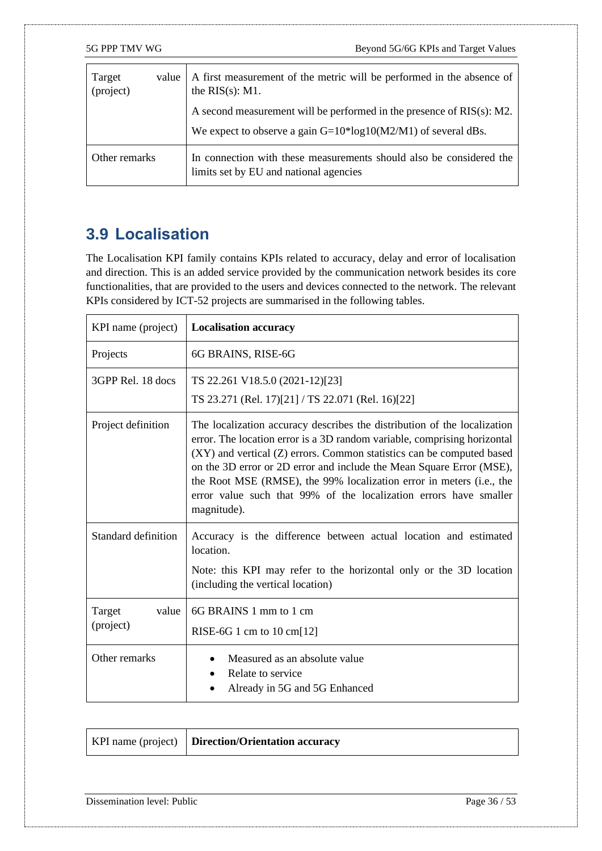| Target<br>value<br>(project) | A first measurement of the metric will be performed in the absence of<br>the $RIS(s)$ : M1.                                                 |
|------------------------------|---------------------------------------------------------------------------------------------------------------------------------------------|
|                              | A second measurement will be performed in the presence of $RIS(s)$ : M2.<br>We expect to observe a gain $G=10*log10(M2/M1)$ of several dBs. |
| Other remarks                | In connection with these measurements should also be considered the<br>limits set by EU and national agencies                               |

### <span id="page-35-0"></span>**3.9 Localisation**

The Localisation KPI family contains KPIs related to accuracy, delay and error of localisation and direction. This is an added service provided by the communication network besides its core functionalities, that are provided to the users and devices connected to the network. The relevant KPIs considered by ICT-52 projects are summarised in the following tables.

| KPI name (project)           | <b>Localisation accuracy</b>                                                                                                                                                                                                                                                                                                                                                                                                                                      |
|------------------------------|-------------------------------------------------------------------------------------------------------------------------------------------------------------------------------------------------------------------------------------------------------------------------------------------------------------------------------------------------------------------------------------------------------------------------------------------------------------------|
| Projects                     | 6G BRAINS, RISE-6G                                                                                                                                                                                                                                                                                                                                                                                                                                                |
| 3GPP Rel. 18 docs            | TS 22.261 V18.5.0 (2021-12)[23]<br>TS 23.271 (Rel. 17)[21] / TS 22.071 (Rel. 16)[22]                                                                                                                                                                                                                                                                                                                                                                              |
| Project definition           | The localization accuracy describes the distribution of the localization<br>error. The location error is a 3D random variable, comprising horizontal<br>(XY) and vertical (Z) errors. Common statistics can be computed based<br>on the 3D error or 2D error and include the Mean Square Error (MSE),<br>the Root MSE (RMSE), the 99% localization error in meters (i.e., the<br>error value such that 99% of the localization errors have smaller<br>magnitude). |
| Standard definition          | Accuracy is the difference between actual location and estimated<br>location.<br>Note: this KPI may refer to the horizontal only or the 3D location<br>(including the vertical location)                                                                                                                                                                                                                                                                          |
| Target<br>value<br>(project) | 6G BRAINS 1 mm to 1 cm<br>RISE-6G 1 cm to $10 \text{ cm}$ [12]                                                                                                                                                                                                                                                                                                                                                                                                    |
| Other remarks                | Measured as an absolute value<br>Relate to service<br>$\bullet$<br>Already in 5G and 5G Enhanced                                                                                                                                                                                                                                                                                                                                                                  |

|  | KPI name (project)   Direction/Orientation accuracy |
|--|-----------------------------------------------------|
|--|-----------------------------------------------------|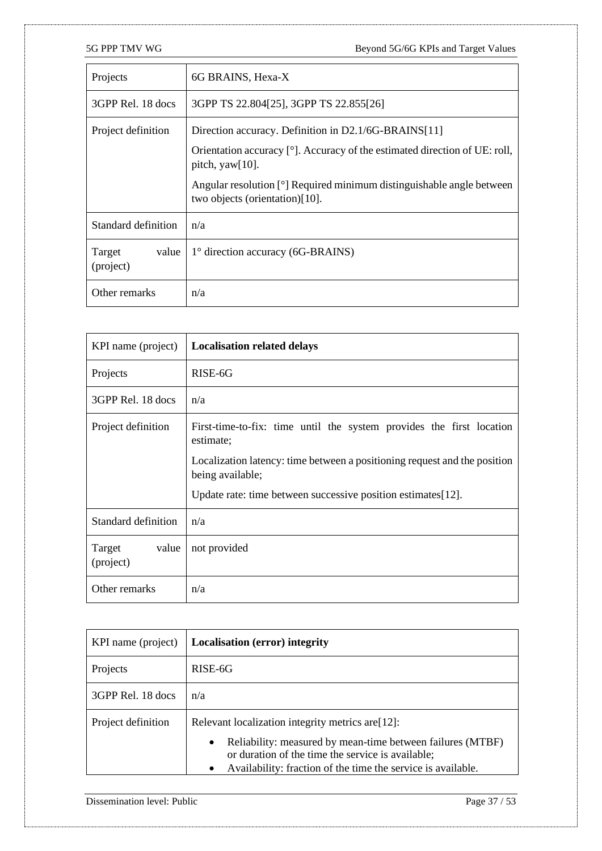| Projects                     | 6G BRAINS, Hexa-X                                                                                       |
|------------------------------|---------------------------------------------------------------------------------------------------------|
| 3GPP Rel. 18 docs            | 3GPP TS 22.804[25], 3GPP TS 22.855[26]                                                                  |
| Project definition           | Direction accuracy. Definition in D2.1/6G-BRAINS[11]                                                    |
|                              | Orientation accuracy [°]. Accuracy of the estimated direction of UE: roll,<br>pitch, $\gamma$ aw[10].   |
|                              | Angular resolution [°] Required minimum distinguishable angle between<br>two objects (orientation)[10]. |
| Standard definition          | n/a                                                                                                     |
| Target<br>value<br>(project) | $1^\circ$ direction accuracy (6G-BRAINS)                                                                |
| Other remarks                | n/a                                                                                                     |

| KPI name (project)           | <b>Localisation related delays</b>                                                            |
|------------------------------|-----------------------------------------------------------------------------------------------|
| Projects                     | RISE-6G                                                                                       |
| 3GPP Rel. 18 docs            | n/a                                                                                           |
| Project definition           | First-time-to-fix: time until the system provides the first location<br>estimate;             |
|                              | Localization latency: time between a positioning request and the position<br>being available; |
|                              | Update rate: time between successive position estimates[12].                                  |
| Standard definition          | n/a                                                                                           |
| Target<br>value<br>(project) | not provided                                                                                  |
| Other remarks                | n/a                                                                                           |

| KPI name (project) | <b>Localisation (error) integrity</b>                                                                                                                                                                                                             |
|--------------------|---------------------------------------------------------------------------------------------------------------------------------------------------------------------------------------------------------------------------------------------------|
| Projects           | RISE-6G                                                                                                                                                                                                                                           |
| 3GPP Rel. 18 docs  | n/a                                                                                                                                                                                                                                               |
| Project definition | Relevant localization integrity metrics are [12]:<br>Reliability: measured by mean-time between failures (MTBF)<br>$\bullet$<br>or duration of the time the service is available;<br>Availability: fraction of the time the service is available. |

Dissemination level: Public Page 37 / 53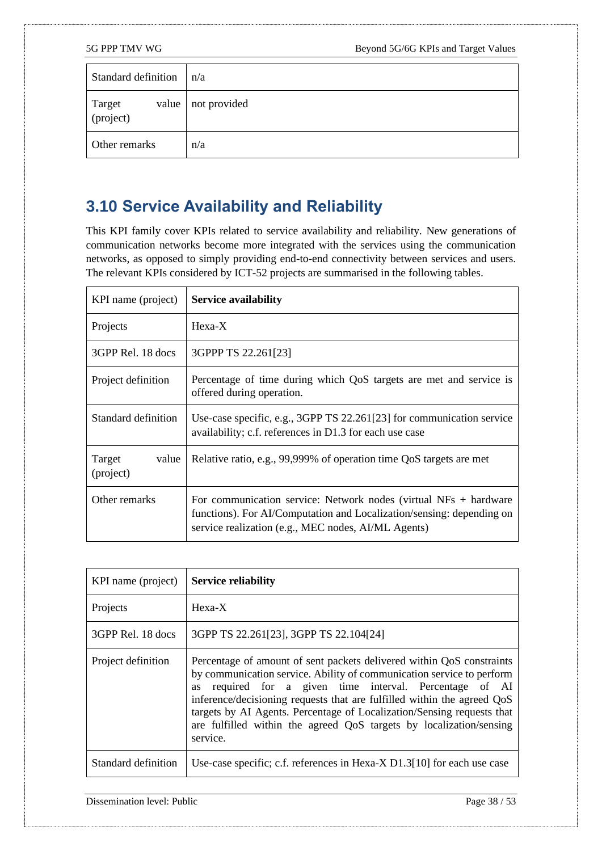| Standard definition          | n/a          |
|------------------------------|--------------|
| Target<br>(project)<br>value | not provided |
| Other remarks                | n/a          |

### <span id="page-37-0"></span>**3.10 Service Availability and Reliability**

This KPI family cover KPIs related to service availability and reliability. New generations of communication networks become more integrated with the services using the communication networks, as opposed to simply providing end-to-end connectivity between services and users. The relevant KPIs considered by ICT-52 projects are summarised in the following tables.

| KPI name (project)           | <b>Service availability</b>                                                                                                                                                                        |
|------------------------------|----------------------------------------------------------------------------------------------------------------------------------------------------------------------------------------------------|
| Projects                     | $Hexa-X$                                                                                                                                                                                           |
| 3GPP Rel. 18 docs            | 3GPPP TS 22.261[23]                                                                                                                                                                                |
| Project definition           | Percentage of time during which QoS targets are met and service is<br>offered during operation.                                                                                                    |
| Standard definition          | Use-case specific, e.g., 3GPP TS 22.261[23] for communication service<br>availability; c.f. references in D1.3 for each use case                                                                   |
| Target<br>value<br>(project) | Relative ratio, e.g., 99,999% of operation time QoS targets are met                                                                                                                                |
| Other remarks                | For communication service: Network nodes (virtual $NFs + hardware$<br>functions). For AI/Computation and Localization/sensing: depending on<br>service realization (e.g., MEC nodes, AI/ML Agents) |

| KPI name (project)  | <b>Service reliability</b>                                                                                                                                                                                                                                                                                                                                                                                                                           |
|---------------------|------------------------------------------------------------------------------------------------------------------------------------------------------------------------------------------------------------------------------------------------------------------------------------------------------------------------------------------------------------------------------------------------------------------------------------------------------|
| Projects            | $Hexa-X$                                                                                                                                                                                                                                                                                                                                                                                                                                             |
| 3GPP Rel. 18 docs   | 3GPP TS 22.261[23], 3GPP TS 22.104[24]                                                                                                                                                                                                                                                                                                                                                                                                               |
| Project definition  | Percentage of amount of sent packets delivered within QoS constraints<br>by communication service. Ability of communication service to perform<br>required for a given time interval. Percentage of AI<br>as<br>inference/decisioning requests that are fulfilled within the agreed QoS<br>targets by AI Agents. Percentage of Localization/Sensing requests that<br>are fulfilled within the agreed QoS targets by localization/sensing<br>service. |
| Standard definition | Use-case specific; c.f. references in Hexa- $X$ D1.3[10] for each use case                                                                                                                                                                                                                                                                                                                                                                           |

Dissemination level: Public Page 38 / 53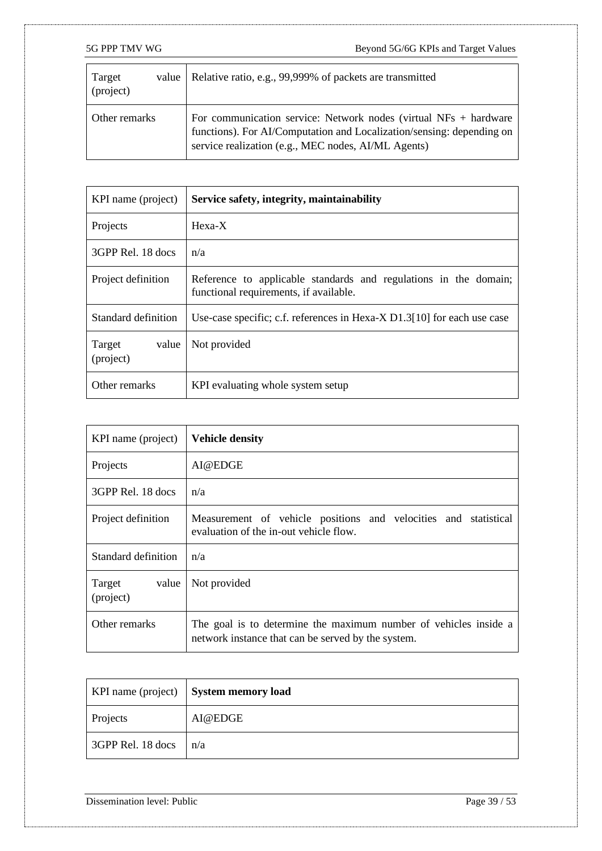| Target<br>(project) | value   Relative ratio, e.g., 99,999% of packets are transmitted                                                                                                                                   |
|---------------------|----------------------------------------------------------------------------------------------------------------------------------------------------------------------------------------------------|
| Other remarks       | For communication service: Network nodes (virtual $NFs + hardware$<br>functions). For AI/Computation and Localization/sensing: depending on<br>service realization (e.g., MEC nodes, AI/ML Agents) |

| KPI name (project)           | Service safety, integrity, maintainability                                                                 |
|------------------------------|------------------------------------------------------------------------------------------------------------|
| Projects                     | $Hexa-X$                                                                                                   |
| 3GPP Rel. 18 docs            | n/a                                                                                                        |
| Project definition           | Reference to applicable standards and regulations in the domain;<br>functional requirements, if available. |
| Standard definition          | Use-case specific; c.f. references in Hexa-X $D1.3[10]$ for each use case                                  |
| Target<br>value<br>(project) | Not provided                                                                                               |
| Other remarks                | KPI evaluating whole system setup                                                                          |

| KPI name (project)           | <b>Vehicle density</b>                                                                                                 |
|------------------------------|------------------------------------------------------------------------------------------------------------------------|
| Projects                     | AI@EDGE                                                                                                                |
| 3GPP Rel. 18 docs            | n/a                                                                                                                    |
| Project definition           | Measurement of vehicle positions and velocities and statistical<br>evaluation of the in-out vehicle flow.              |
| Standard definition          | n/a                                                                                                                    |
| Target<br>value<br>(project) | Not provided                                                                                                           |
| Other remarks                | The goal is to determine the maximum number of vehicles inside a<br>network instance that can be served by the system. |

|                   | KPI name (project)   System memory load |
|-------------------|-----------------------------------------|
| Projects          | AI@EDGE                                 |
| 3GPP Rel. 18 docs | n/a                                     |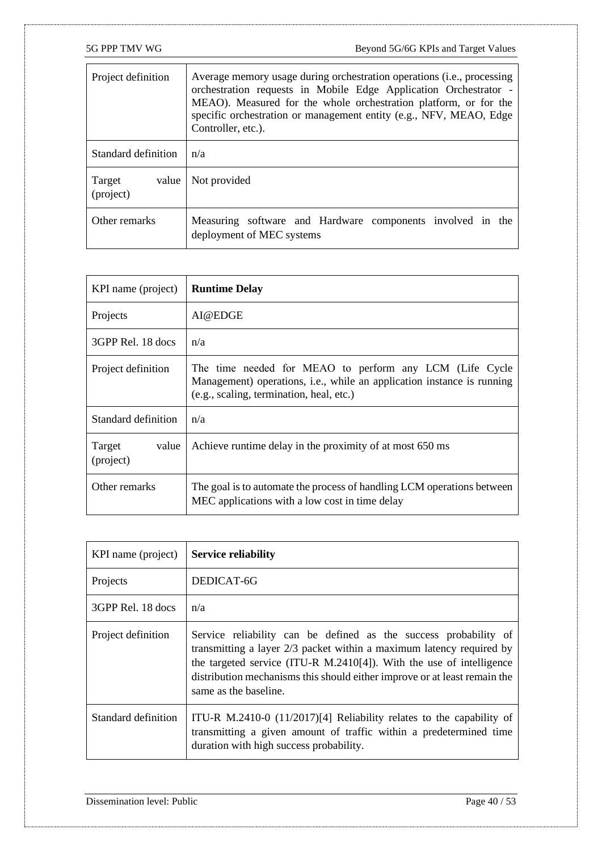| Project definition           | Average memory usage during orchestration operations (i.e., processing<br>orchestration requests in Mobile Edge Application Orchestrator -<br>MEAO). Measured for the whole orchestration platform, or for the<br>specific orchestration or management entity (e.g., NFV, MEAO, Edge<br>Controller, etc.). |
|------------------------------|------------------------------------------------------------------------------------------------------------------------------------------------------------------------------------------------------------------------------------------------------------------------------------------------------------|
| Standard definition          | n/a                                                                                                                                                                                                                                                                                                        |
| Target<br>value<br>(project) | Not provided                                                                                                                                                                                                                                                                                               |
| Other remarks                | Measuring software and Hardware components involved in the<br>deployment of MEC systems                                                                                                                                                                                                                    |

| KPI name (project)           | <b>Runtime Delay</b>                                                                                                                                                                  |
|------------------------------|---------------------------------------------------------------------------------------------------------------------------------------------------------------------------------------|
| Projects                     | AI@EDGE                                                                                                                                                                               |
| 3GPP Rel. 18 docs            | n/a                                                                                                                                                                                   |
| Project definition           | The time needed for MEAO to perform any LCM (Life Cycle<br>Management) operations, <i>i.e.</i> , while an application instance is running<br>(e.g., scaling, termination, heal, etc.) |
| Standard definition          | n/a                                                                                                                                                                                   |
| Target<br>value<br>(project) | Achieve runtime delay in the proximity of at most 650 ms                                                                                                                              |
| Other remarks                | The goal is to automate the process of handling LCM operations between<br>MEC applications with a low cost in time delay                                                              |

| KPI name (project)  | <b>Service reliability</b>                                                                                                                                                                                                                                                                                             |
|---------------------|------------------------------------------------------------------------------------------------------------------------------------------------------------------------------------------------------------------------------------------------------------------------------------------------------------------------|
| Projects            | DEDICAT-6G                                                                                                                                                                                                                                                                                                             |
| 3GPP Rel. 18 docs   | n/a                                                                                                                                                                                                                                                                                                                    |
| Project definition  | Service reliability can be defined as the success probability of<br>transmitting a layer 2/3 packet within a maximum latency required by<br>the targeted service (ITU-R M.2410[4]). With the use of intelligence<br>distribution mechanisms this should either improve or at least remain the<br>same as the baseline. |
| Standard definition | ITU-R M.2410-0 (11/2017)[4] Reliability relates to the capability of<br>transmitting a given amount of traffic within a predetermined time<br>duration with high success probability.                                                                                                                                  |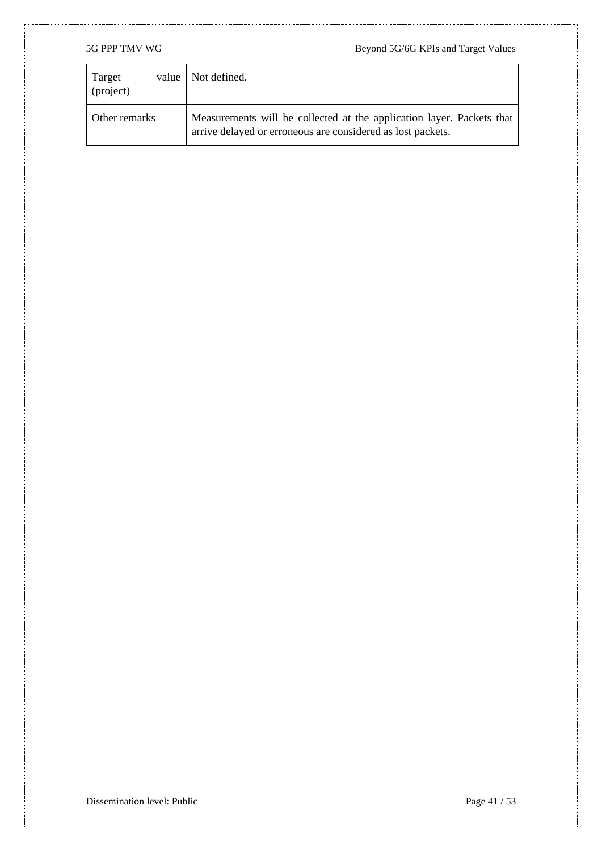| Target<br>(project) | value   Not defined.                                                                                                                 |
|---------------------|--------------------------------------------------------------------------------------------------------------------------------------|
| Other remarks       | Measurements will be collected at the application layer. Packets that<br>arrive delayed or erroneous are considered as lost packets. |

Dissemination level: Public Page 41 / 53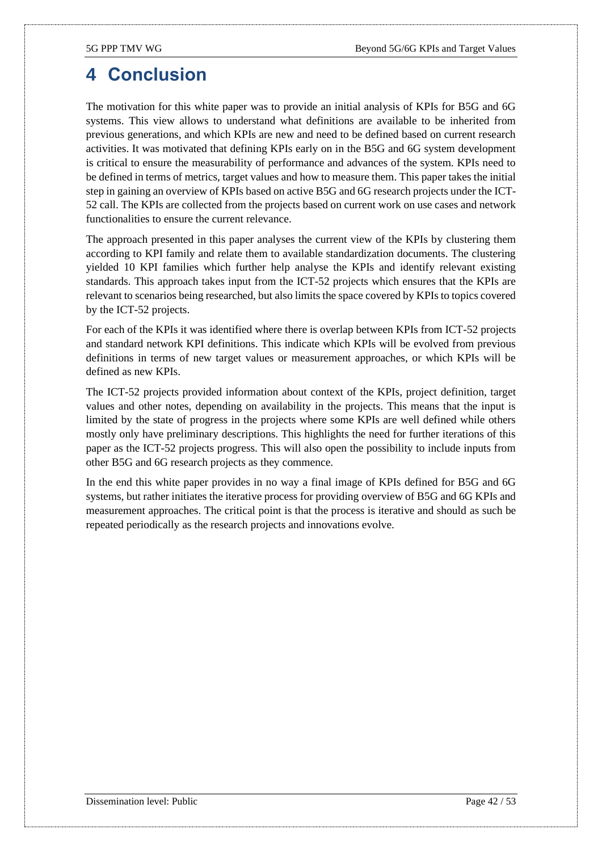### <span id="page-41-0"></span>**4 Conclusion**

The motivation for this white paper was to provide an initial analysis of KPIs for B5G and 6G systems. This view allows to understand what definitions are available to be inherited from previous generations, and which KPIs are new and need to be defined based on current research activities. It was motivated that defining KPIs early on in the B5G and 6G system development is critical to ensure the measurability of performance and advances of the system. KPIs need to be defined in terms of metrics, target values and how to measure them. This paper takes the initial step in gaining an overview of KPIs based on active B5G and 6G research projects under the ICT-52 call. The KPIs are collected from the projects based on current work on use cases and network functionalities to ensure the current relevance.

The approach presented in this paper analyses the current view of the KPIs by clustering them according to KPI family and relate them to available standardization documents. The clustering yielded 10 KPI families which further help analyse the KPIs and identify relevant existing standards. This approach takes input from the ICT-52 projects which ensures that the KPIs are relevant to scenarios being researched, but also limits the space covered by KPIs to topics covered by the ICT-52 projects.

For each of the KPIs it was identified where there is overlap between KPIs from ICT-52 projects and standard network KPI definitions. This indicate which KPIs will be evolved from previous definitions in terms of new target values or measurement approaches, or which KPIs will be defined as new KPIs.

The ICT-52 projects provided information about context of the KPIs, project definition, target values and other notes, depending on availability in the projects. This means that the input is limited by the state of progress in the projects where some KPIs are well defined while others mostly only have preliminary descriptions. This highlights the need for further iterations of this paper as the ICT-52 projects progress. This will also open the possibility to include inputs from other B5G and 6G research projects as they commence.

In the end this white paper provides in no way a final image of KPIs defined for B5G and 6G systems, but rather initiates the iterative process for providing overview of B5G and 6G KPIs and measurement approaches. The critical point is that the process is iterative and should as such be repeated periodically as the research projects and innovations evolve.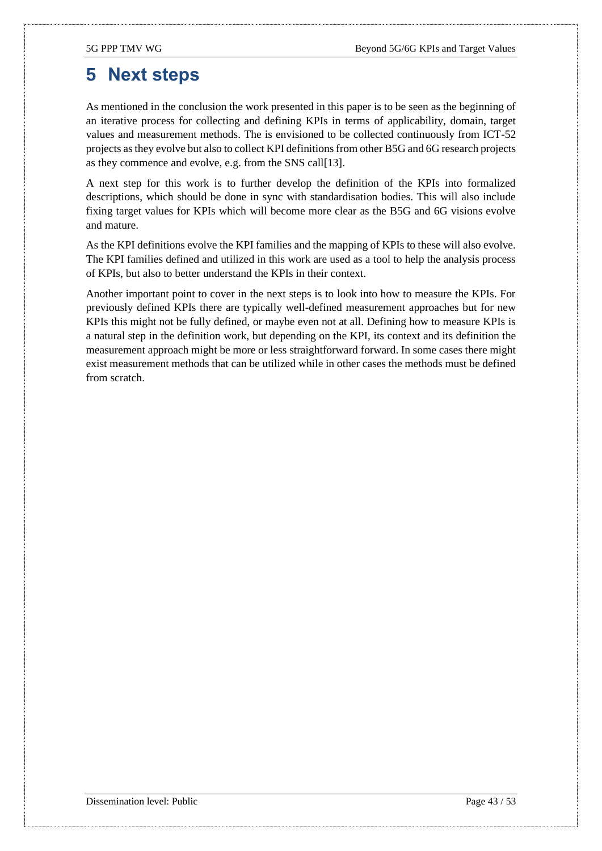## <span id="page-42-0"></span>**5 Next steps**

As mentioned in the conclusion the work presented in this paper is to be seen as the beginning of an iterative process for collecting and defining KPIs in terms of applicability, domain, target values and measurement methods. The is envisioned to be collected continuously from ICT-52 projects as they evolve but also to collect KPI definitions from other B5G and 6G research projects as they commence and evolve, e.g. from the SNS cal[l\[13\].](#page-43-1)

A next step for this work is to further develop the definition of the KPIs into formalized descriptions, which should be done in sync with standardisation bodies. This will also include fixing target values for KPIs which will become more clear as the B5G and 6G visions evolve and mature.

As the KPI definitions evolve the KPI families and the mapping of KPIs to these will also evolve. The KPI families defined and utilized in this work are used as a tool to help the analysis process of KPIs, but also to better understand the KPIs in their context.

Another important point to cover in the next steps is to look into how to measure the KPIs. For previously defined KPIs there are typically well-defined measurement approaches but for new KPIs this might not be fully defined, or maybe even not at all. Defining how to measure KPIs is a natural step in the definition work, but depending on the KPI, its context and its definition the measurement approach might be more or less straightforward forward. In some cases there might exist measurement methods that can be utilized while in other cases the methods must be defined from scratch.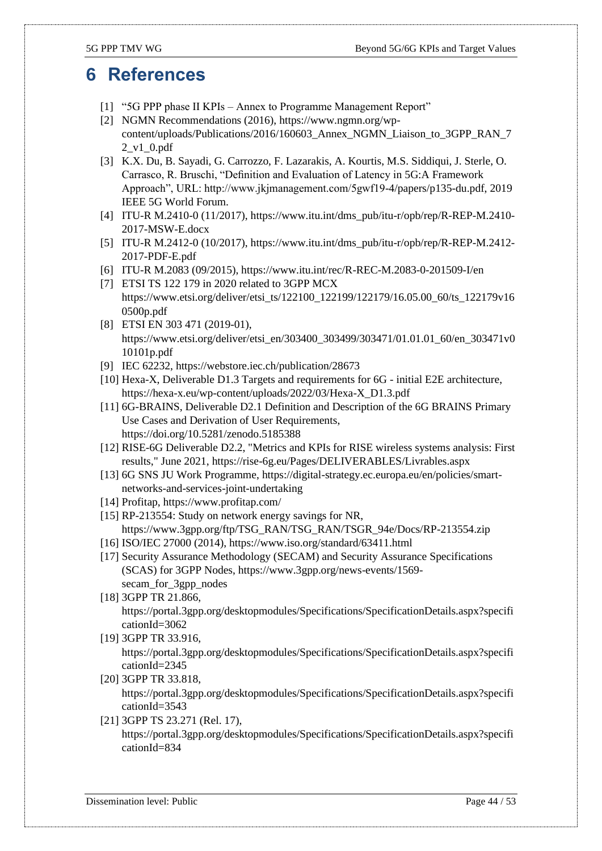### <span id="page-43-0"></span>**6 References**

- <span id="page-43-3"></span>[1] "5G PPP phase II KPIs – Annex to Programme Management Report"
- <span id="page-43-11"></span>[2] NGMN Recommendations (2016), https://www.ngmn.org/wpcontent/uploads/Publications/2016/160603\_Annex\_NGMN\_Liaison\_to\_3GPP\_RAN\_7 2\_v1\_0.pdf
- <span id="page-43-4"></span>[3] K.X. Du, B. Sayadi, G. Carrozzo, F. Lazarakis, A. Kourtis, M.S. Siddiqui, J. Sterle, O. Carrasco, R. Bruschi, "Definition and Evaluation of Latency in 5G:A Framework Approach", URL: http://www.jkjmanagement.com/5gwf19-4/papers/p135-du.pdf, 2019 IEEE 5G World Forum.
- <span id="page-43-2"></span>[4] ITU-R M.2410-0 (11/2017), https://www.itu.int/dms\_pub/itu-r/opb/rep/R-REP-M.2410- 2017-MSW-E.docx
- <span id="page-43-5"></span>[5] ITU-R M.2412-0 (10/2017), https://www.itu.int/dms\_pub/itu-r/opb/rep/R-REP-M.2412- 2017-PDF-E.pdf
- <span id="page-43-6"></span>[6] ITU-R M.2083 (09/2015), https://www.itu.int/rec/R-REC-M.2083-0-201509-I/en
- <span id="page-43-10"></span>[7] ETSI TS 122 179 in 2020 related to 3GPP MCX https://www.etsi.org/deliver/etsi\_ts/122100\_122199/122179/16.05.00\_60/ts\_122179v16 0500p.pdf
- <span id="page-43-7"></span>[8] ETSI EN 303 471 (2019-01), https://www.etsi.org/deliver/etsi\_en/303400\_303499/303471/01.01.01\_60/en\_303471v0 10101p.pdf
- <span id="page-43-19"></span>[9] IEC 62232, https://webstore.iec.ch/publication/28673
- <span id="page-43-8"></span>[10] Hexa-X, Deliverable D1.3 Targets and requirements for 6G - initial E2E architecture, https://hexa-x.eu/wp-content/uploads/2022/03/Hexa-X\_D1.3.pdf
- <span id="page-43-21"></span>[11] 6G-BRAINS, Deliverable D2.1 Definition and Description of the 6G BRAINS Primary Use Cases and Derivation of User Requirements, https://doi.org/10.5281/zenodo.5185388
- <span id="page-43-9"></span>[12] RISE-6G Deliverable D2.2, "Metrics and KPIs for RISE wireless systems analysis: First results," June 2021, https://rise-6g.eu/Pages/DELIVERABLES/Livrables.aspx
- <span id="page-43-1"></span>[13] 6G SNS JU Work Programme, https://digital-strategy.ec.europa.eu/en/policies/smartnetworks-and-services-joint-undertaking
- <span id="page-43-12"></span>[14] Profitap, https://www.profitap.com/
- <span id="page-43-15"></span>[15] RP-213554: Study on network energy savings for NR, https://www.3gpp.org/ftp/TSG\_RAN/TSG\_RAN/TSGR\_94e/Docs/RP-213554.zip
- <span id="page-43-13"></span>[16] ISO/IEC 27000 (2014), https://www.iso.org/standard/63411.html
- <span id="page-43-18"></span>[17] Security Assurance Methodology (SECAM) and Security Assurance Specifications (SCAS) for 3GPP Nodes, https://www.3gpp.org/news-events/1569 secam for 3gpp nodes
- <span id="page-43-14"></span>[18] 3GPP TR 21.866, https://portal.3gpp.org/desktopmodules/Specifications/SpecificationDetails.aspx?specifi cationId=3062
- <span id="page-43-16"></span>[19] 3GPP TR 33.916, https://portal.3gpp.org/desktopmodules/Specifications/SpecificationDetails.aspx?specifi cationId=2345
- <span id="page-43-17"></span>[20] 3GPP TR 33.818, https://portal.3gpp.org/desktopmodules/Specifications/SpecificationDetails.aspx?specifi cationId=3543
- <span id="page-43-20"></span>[21] 3GPP TS 23.271 (Rel. 17), https://portal.3gpp.org/desktopmodules/Specifications/SpecificationDetails.aspx?specifi cationId=834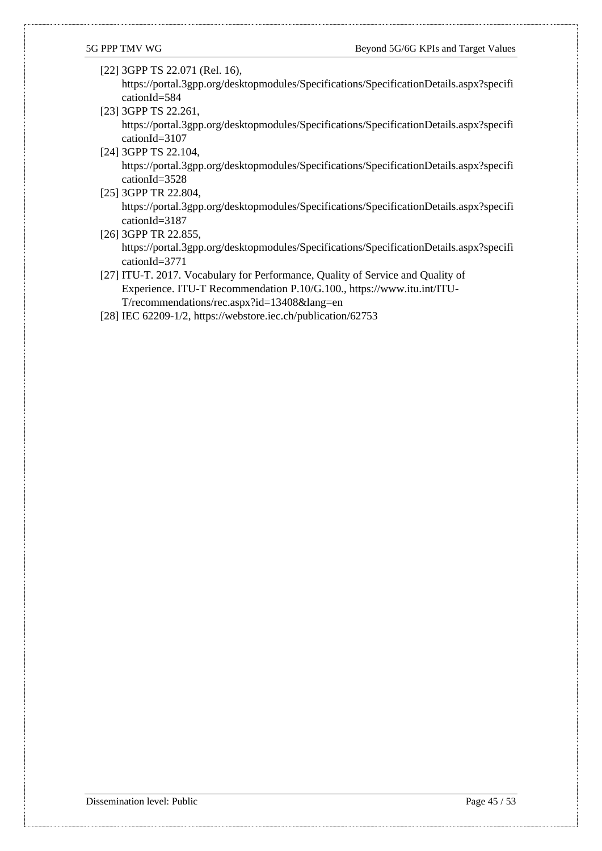- <span id="page-44-3"></span>[22] 3GPP TS 22.071 (Rel. 16), https://portal.3gpp.org/desktopmodules/Specifications/SpecificationDetails.aspx?specifi cationId=584
- <span id="page-44-0"></span>[23] 3GPP TS 22.261, https://portal.3gpp.org/desktopmodules/Specifications/SpecificationDetails.aspx?specifi cationId=3107

<span id="page-44-6"></span>[24] 3GPP TS 22.104, https://portal.3gpp.org/desktopmodules/Specifications/SpecificationDetails.aspx?specifi cationId=3528

- <span id="page-44-4"></span>[25] 3GPP TR 22.804, https://portal.3gpp.org/desktopmodules/Specifications/SpecificationDetails.aspx?specifi cationId=3187
- <span id="page-44-5"></span>[26] 3GPP TR 22.855, https://portal.3gpp.org/desktopmodules/Specifications/SpecificationDetails.aspx?specifi cationId=3771
- <span id="page-44-1"></span>[27] ITU-T. 2017. Vocabulary for Performance, Quality of Service and Quality of Experience. ITU-T Recommendation P.10/G.100., https://www.itu.int/ITU-T/recommendations/rec.aspx?id=13408&lang=en
- <span id="page-44-2"></span>[28] IEC 62209-1/2, https://webstore.iec.ch/publication/62753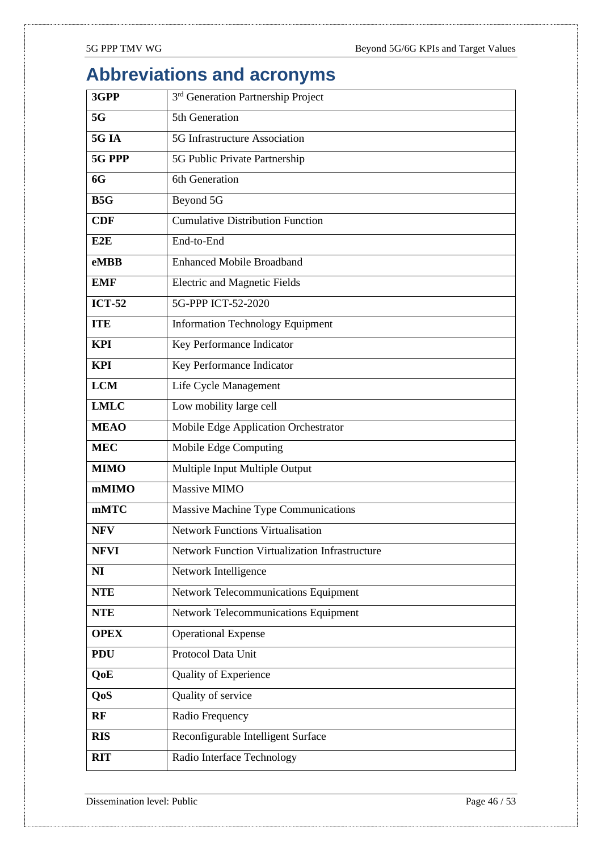## <span id="page-45-0"></span>**Abbreviations and acronyms**

| 3GPP          | 3 <sup>rd</sup> Generation Partnership Project        |
|---------------|-------------------------------------------------------|
| 5G            | 5th Generation                                        |
| <b>5G IA</b>  | 5G Infrastructure Association                         |
| 5G PPP        | 5G Public Private Partnership                         |
| 6G            | 6th Generation                                        |
| B5G           | Beyond 5G                                             |
| <b>CDF</b>    | <b>Cumulative Distribution Function</b>               |
| E2E           | End-to-End                                            |
| eMBB          | <b>Enhanced Mobile Broadband</b>                      |
| <b>EMF</b>    | <b>Electric and Magnetic Fields</b>                   |
| <b>ICT-52</b> | 5G-PPP ICT-52-2020                                    |
| <b>TTE</b>    | <b>Information Technology Equipment</b>               |
| <b>KPI</b>    | Key Performance Indicator                             |
| <b>KPI</b>    | Key Performance Indicator                             |
| <b>LCM</b>    | Life Cycle Management                                 |
| <b>LMLC</b>   | Low mobility large cell                               |
| <b>MEAO</b>   | Mobile Edge Application Orchestrator                  |
| <b>MEC</b>    | Mobile Edge Computing                                 |
| <b>MIMO</b>   | Multiple Input Multiple Output                        |
| mMIMO         | Massive MIMO                                          |
| mMTC          | Massive Machine Type Communications                   |
| <b>NFV</b>    | <b>Network Functions Virtualisation</b>               |
| <b>NFVI</b>   | <b>Network Function Virtualization Infrastructure</b> |
| NI            | Network Intelligence                                  |
| <b>NTE</b>    | <b>Network Telecommunications Equipment</b>           |
| <b>NTE</b>    | <b>Network Telecommunications Equipment</b>           |
| <b>OPEX</b>   | <b>Operational Expense</b>                            |
| <b>PDU</b>    | Protocol Data Unit                                    |
| QoE           | Quality of Experience                                 |
| QoS           | Quality of service                                    |
| RF            | Radio Frequency                                       |
| <b>RIS</b>    | Reconfigurable Intelligent Surface                    |
| <b>RIT</b>    | Radio Interface Technology                            |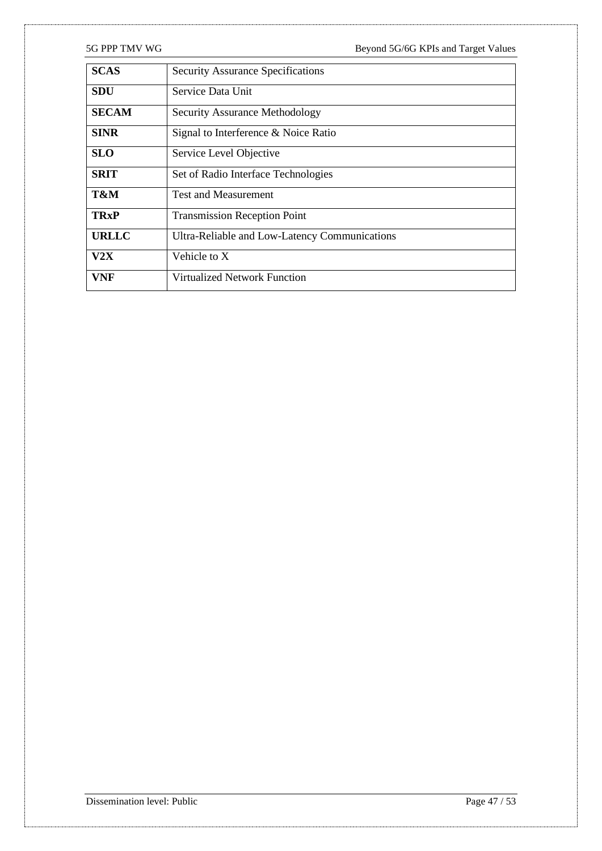| <b>SCAS</b>  | <b>Security Assurance Specifications</b>      |
|--------------|-----------------------------------------------|
| <b>SDU</b>   | Service Data Unit                             |
| <b>SECAM</b> | <b>Security Assurance Methodology</b>         |
| <b>SINR</b>  | Signal to Interference & Noice Ratio          |
| <b>SLO</b>   | Service Level Objective                       |
| <b>SRIT</b>  | Set of Radio Interface Technologies           |
| T&M          | <b>Test and Measurement</b>                   |
| <b>TRxP</b>  | <b>Transmission Reception Point</b>           |
| <b>URLLC</b> | Ultra-Reliable and Low-Latency Communications |
| V2X          | Vehicle to X                                  |
| VNF          | Virtualized Network Function                  |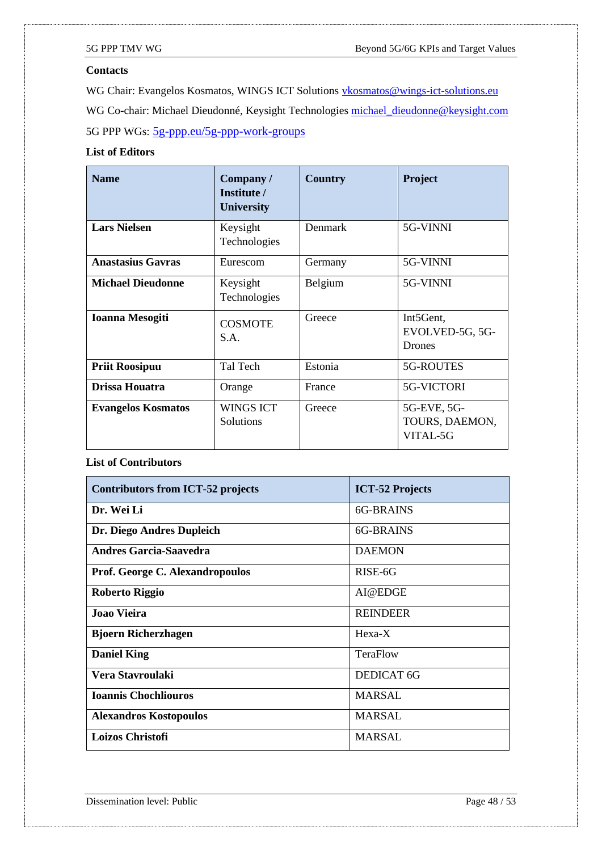#### **Contacts**

WG Chair: Evangelos Kosmatos, WINGS ICT Solutions [vkosmatos@wings-ict-solutions.eu](mailto:vkosmatos@wings-ict-solutions.eu) WG Co-chair: Michael Dieudonné, Keysight Technologies [michael\\_dieudonne@keysight.com](mailto:michael_dieudonne@keysight.com) 5G PPP WGs: [5g-ppp.eu/5g-ppp-work-groups](https://5g-ppp.eu/5g-ppp-work-groups/)

#### **List of Editors**

| <b>Name</b>               | Company/<br>Institute /<br><b>University</b> | <b>Country</b> | <b>Project</b>                                             |
|---------------------------|----------------------------------------------|----------------|------------------------------------------------------------|
| <b>Lars Nielsen</b>       | Keysight<br>Technologies                     | Denmark        | 5G-VINNI                                                   |
| <b>Anastasius Gavras</b>  | Eurescom                                     | Germany        | 5G-VINNI                                                   |
| <b>Michael Dieudonne</b>  | Keysight<br>Technologies                     | Belgium        | 5G-VINNI                                                   |
| <b>Ioanna Mesogiti</b>    | <b>COSMOTE</b><br>S.A.                       | Greece         | Int <sub>5</sub> Gent,<br>EVOLVED-5G, 5G-<br><b>Drones</b> |
| <b>Priit Roosipuu</b>     | Tal Tech                                     | Estonia        | 5G-ROUTES                                                  |
| Drissa Houatra            | Orange                                       | France         | 5G-VICTORI                                                 |
| <b>Evangelos Kosmatos</b> | <b>WINGS ICT</b><br>Solutions                | Greece         | 5G-EVE, 5G-<br>TOURS, DAEMON,<br>VITAL-5G                  |

#### **List of Contributors**

| <b>Contributors from ICT-52 projects</b> | <b>ICT-52 Projects</b> |  |
|------------------------------------------|------------------------|--|
| Dr. Wei Li                               | 6G-BRAINS              |  |
| Dr. Diego Andres Dupleich                | 6G-BRAINS              |  |
| <b>Andres Garcia-Saavedra</b>            | <b>DAEMON</b>          |  |
| Prof. George C. Alexandropoulos          | RISE-6G                |  |
| <b>Roberto Riggio</b>                    | AI@EDGE                |  |
| Joao Vieira                              | <b>REINDEER</b>        |  |
| <b>Bjoern Richerzhagen</b>               | $Hexa-X$               |  |
| <b>Daniel King</b>                       | TeraFlow               |  |
| Vera Stavroulaki                         | <b>DEDICAT 6G</b>      |  |
| <b>Ioannis Chochliouros</b>              | <b>MARSAL</b>          |  |
| <b>Alexandros Kostopoulos</b>            | MARSAL                 |  |
| <b>Loizos Christofi</b>                  | <b>MARSAL</b>          |  |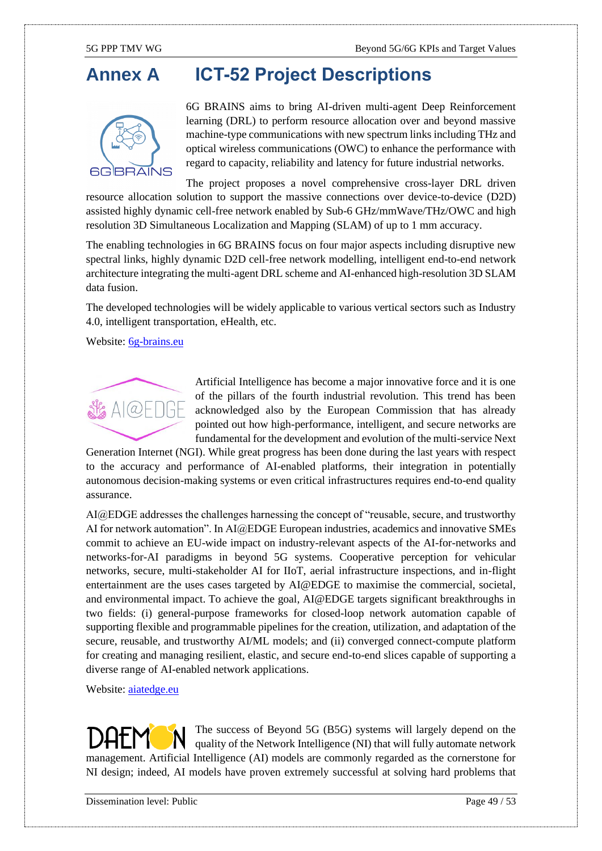## <span id="page-48-0"></span>**Annex A ICT-52 Project Descriptions**



6G BRAINS aims to bring AI-driven multi-agent Deep Reinforcement learning (DRL) to perform resource allocation over and beyond massive machine-type communications with new spectrum links including THz and optical wireless communications (OWC) to enhance the performance with regard to capacity, reliability and latency for future industrial networks.

The project proposes a novel comprehensive cross-layer DRL driven resource allocation solution to support the massive connections over device-to-device (D2D) assisted highly dynamic cell-free network enabled by Sub-6 GHz/mmWave/THz/OWC and high resolution 3D Simultaneous Localization and Mapping (SLAM) of up to 1 mm accuracy.

The enabling technologies in 6G BRAINS focus on four major aspects including disruptive new spectral links, highly dynamic D2D cell-free network modelling, intelligent end-to-end network architecture integrating the multi-agent DRL scheme and AI-enhanced high-resolution 3D SLAM data fusion.

The developed technologies will be widely applicable to various vertical sectors such as Industry 4.0, intelligent transportation, eHealth, etc.

Website: [6g-brains.eu](http://6g-brains.eu/)



Artificial Intelligence has become a major innovative force and it is one of the pillars of the fourth industrial revolution. This trend has been acknowledged also by the European Commission that has already pointed out how high-performance, intelligent, and secure networks are fundamental for the development and evolution of the multi-service Next

Generation Internet (NGI). While great progress has been done during the last years with respect to the accuracy and performance of AI-enabled platforms, their integration in potentially autonomous decision-making systems or even critical infrastructures requires end-to-end quality assurance.

AI@EDGE addresses the challenges harnessing the concept of "reusable, secure, and trustworthy AI for network automation". In AI@EDGE European industries, academics and innovative SMEs commit to achieve an EU-wide impact on industry-relevant aspects of the AI-for-networks and networks-for-AI paradigms in beyond 5G systems. Cooperative perception for vehicular networks, secure, multi-stakeholder AI for IIoT, aerial infrastructure inspections, and in-flight entertainment are the uses cases targeted by AI@EDGE to maximise the commercial, societal, and environmental impact. To achieve the goal, AI@EDGE targets significant breakthroughs in two fields: (i) general-purpose frameworks for closed-loop network automation capable of supporting flexible and programmable pipelines for the creation, utilization, and adaptation of the secure, reusable, and trustworthy AI/ML models; and (ii) converged connect-compute platform for creating and managing resilient, elastic, and secure end-to-end slices capable of supporting a diverse range of AI-enabled network applications.

Website: aiatedge.eu

The success of Beyond 5G (B5G) systems will largely depend on the quality of the Network Intelligence (NI) that will fully automate network management. Artificial Intelligence (AI) models are commonly regarded as the cornerstone for NI design; indeed, AI models have proven extremely successful at solving hard problems that

Dissemination level: Public Page 49 / 53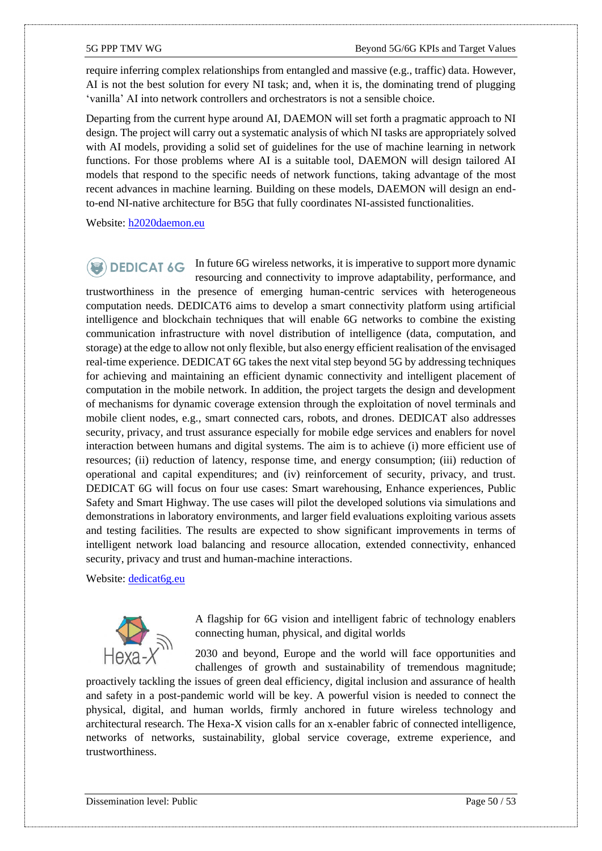require inferring complex relationships from entangled and massive (e.g., traffic) data. However, AI is not the best solution for every NI task; and, when it is, the dominating trend of plugging 'vanilla' AI into network controllers and orchestrators is not a sensible choice.

Departing from the current hype around AI, DAEMON will set forth a pragmatic approach to NI design. The project will carry out a systematic analysis of which NI tasks are appropriately solved with AI models, providing a solid set of guidelines for the use of machine learning in network functions. For those problems where AI is a suitable tool, DAEMON will design tailored AI models that respond to the specific needs of network functions, taking advantage of the most recent advances in machine learning. Building on these models, DAEMON will design an endto-end NI-native architecture for B5G that fully coordinates NI-assisted functionalities.

Website: [h2020daemon.eu](http://h2020daemon.eu/)

 $\bullet$  DEDICAT  $\circ$  In future 6G wireless networks, it is imperative to support more dynamic resourcing and connectivity to improve adaptability, performance, and trustworthiness in the presence of emerging human-centric services with heterogeneous computation needs. DEDICAT6 aims to develop a smart connectivity platform using artificial intelligence and blockchain techniques that will enable 6G networks to combine the existing communication infrastructure with novel distribution of intelligence (data, computation, and storage) at the edge to allow not only flexible, but also energy efficient realisation of the envisaged real-time experience. DEDICAT 6G takes the next vital step beyond 5G by addressing techniques for achieving and maintaining an efficient dynamic connectivity and intelligent placement of computation in the mobile network. In addition, the project targets the design and development of mechanisms for dynamic coverage extension through the exploitation of novel terminals and mobile client nodes, e.g., smart connected cars, robots, and drones. DEDICAT also addresses security, privacy, and trust assurance especially for mobile edge services and enablers for novel interaction between humans and digital systems. The aim is to achieve (i) more efficient use of resources; (ii) reduction of latency, response time, and energy consumption; (iii) reduction of operational and capital expenditures; and (iv) reinforcement of security, privacy, and trust. DEDICAT 6G will focus on four use cases: Smart warehousing, Enhance experiences, Public Safety and Smart Highway. The use cases will pilot the developed solutions via simulations and demonstrations in laboratory environments, and larger field evaluations exploiting various assets and testing facilities. The results are expected to show significant improvements in terms of intelligent network load balancing and resource allocation, extended connectivity, enhanced security, privacy and trust and human-machine interactions.

#### Website: [dedicat6g.eu](http://dedicat6g.eu/)



A flagship for 6G vision and intelligent fabric of technology enablers connecting human, physical, and digital worlds

2030 and beyond, Europe and the world will face opportunities and challenges of growth and sustainability of tremendous magnitude;

proactively tackling the issues of green deal efficiency, digital inclusion and assurance of health and safety in a post-pandemic world will be key. A powerful vision is needed to connect the physical, digital, and human worlds, firmly anchored in future wireless technology and architectural research. The Hexa-X vision calls for an x-enabler fabric of connected intelligence, networks of networks, sustainability, global service coverage, extreme experience, and trustworthiness.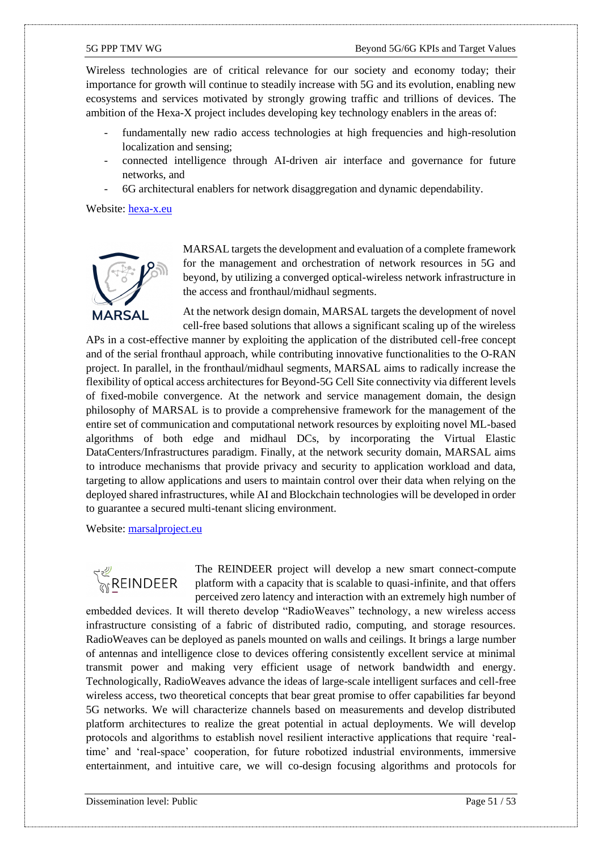Wireless technologies are of critical relevance for our society and economy today; their importance for growth will continue to steadily increase with 5G and its evolution, enabling new ecosystems and services motivated by strongly growing traffic and trillions of devices. The ambition of the Hexa-X project includes developing key technology enablers in the areas of:

- fundamentally new radio access technologies at high frequencies and high-resolution localization and sensing;
- connected intelligence through AI-driven air interface and governance for future networks, and
- 6G architectural enablers for network disaggregation and dynamic dependability.

Website: [hexa-x.eu](http://hexa-x.eu/)



MARSAL targets the development and evaluation of a complete framework for the management and orchestration of network resources in 5G and beyond, by utilizing a converged optical-wireless network infrastructure in the access and fronthaul/midhaul segments.

At the network design domain, MARSAL targets the development of novel cell-free based solutions that allows a significant scaling up of the wireless

APs in a cost-effective manner by exploiting the application of the distributed cell-free concept and of the serial fronthaul approach, while contributing innovative functionalities to the O-RAN project. In parallel, in the fronthaul/midhaul segments, MARSAL aims to radically increase the flexibility of optical access architectures for Beyond-5G Cell Site connectivity via different levels of fixed-mobile convergence. At the network and service management domain, the design philosophy of MARSAL is to provide a comprehensive framework for the management of the entire set of communication and computational network resources by exploiting novel ML-based algorithms of both edge and midhaul DCs, by incorporating the Virtual Elastic DataCenters/Infrastructures paradigm. Finally, at the network security domain, MARSAL aims to introduce mechanisms that provide privacy and security to application workload and data, targeting to allow applications and users to maintain control over their data when relying on the deployed shared infrastructures, while AI and Blockchain technologies will be developed in order to guarantee a secured multi-tenant slicing environment.

Website: marsalproject.eu

**REINDEER** 

The REINDEER project will develop a new smart connect-compute platform with a capacity that is scalable to quasi-infinite, and that offers perceived zero latency and interaction with an extremely high number of

embedded devices. It will thereto develop "RadioWeaves" technology, a new wireless access infrastructure consisting of a fabric of distributed radio, computing, and storage resources. RadioWeaves can be deployed as panels mounted on walls and ceilings. It brings a large number of antennas and intelligence close to devices offering consistently excellent service at minimal transmit power and making very efficient usage of network bandwidth and energy. Technologically, RadioWeaves advance the ideas of large-scale intelligent surfaces and cell-free wireless access, two theoretical concepts that bear great promise to offer capabilities far beyond 5G networks. We will characterize channels based on measurements and develop distributed platform architectures to realize the great potential in actual deployments. We will develop protocols and algorithms to establish novel resilient interactive applications that require 'realtime' and 'real-space' cooperation, for future robotized industrial environments, immersive entertainment, and intuitive care, we will co-design focusing algorithms and protocols for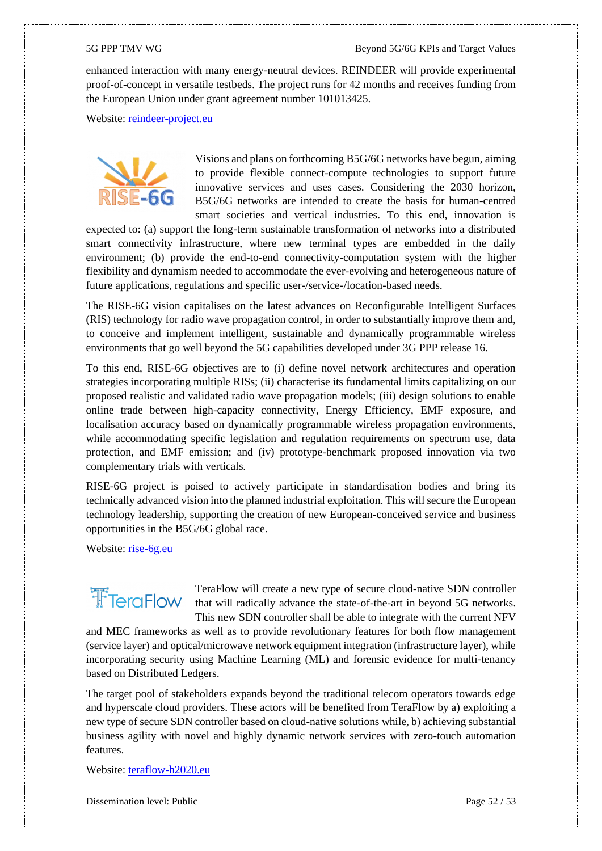enhanced interaction with many energy-neutral devices. REINDEER will provide experimental proof-of-concept in versatile testbeds. The project runs for 42 months and receives funding from the European Union under grant agreement number 101013425.

Website: [reindeer-project.eu](http://reindeer-project.eu/)



Visions and plans on forthcoming B5G/6G networks have begun, aiming to provide flexible connect-compute technologies to support future innovative services and uses cases. Considering the 2030 horizon, B5G/6G networks are intended to create the basis for human-centred smart societies and vertical industries. To this end, innovation is

expected to: (a) support the long-term sustainable transformation of networks into a distributed smart connectivity infrastructure, where new terminal types are embedded in the daily environment; (b) provide the end-to-end connectivity-computation system with the higher flexibility and dynamism needed to accommodate the ever-evolving and heterogeneous nature of future applications, regulations and specific user-/service-/location-based needs.

The RISE-6G vision capitalises on the latest advances on Reconfigurable Intelligent Surfaces (RIS) technology for radio wave propagation control, in order to substantially improve them and, to conceive and implement intelligent, sustainable and dynamically programmable wireless environments that go well beyond the 5G capabilities developed under 3G PPP release 16.

To this end, RISE-6G objectives are to (i) define novel network architectures and operation strategies incorporating multiple RISs; (ii) characterise its fundamental limits capitalizing on our proposed realistic and validated radio wave propagation models; (iii) design solutions to enable online trade between high-capacity connectivity, Energy Efficiency, EMF exposure, and localisation accuracy based on dynamically programmable wireless propagation environments, while accommodating specific legislation and regulation requirements on spectrum use, data protection, and EMF emission; and (iv) prototype-benchmark proposed innovation via two complementary trials with verticals.

RISE-6G project is poised to actively participate in standardisation bodies and bring its technically advanced vision into the planned industrial exploitation. This will secure the European technology leadership, supporting the creation of new European-conceived service and business opportunities in the B5G/6G global race.

Website: [rise-6g.eu](http://rise-6g.eu/)

# **T**FTeraFlow

TeraFlow will create a new type of secure cloud-native SDN controller that will radically advance the state-of-the-art in beyond 5G networks. This new SDN controller shall be able to integrate with the current NFV

and MEC frameworks as well as to provide revolutionary features for both flow management (service layer) and optical/microwave network equipment integration (infrastructure layer), while incorporating security using Machine Learning (ML) and forensic evidence for multi-tenancy based on Distributed Ledgers.

The target pool of stakeholders expands beyond the traditional telecom operators towards edge and hyperscale cloud providers. These actors will be benefited from TeraFlow by a) exploiting a new type of secure SDN controller based on cloud-native solutions while, b) achieving substantial business agility with novel and highly dynamic network services with zero-touch automation features.

Website: [teraflow-h2020.eu](http://teraflow-h2020.eu/)

Dissemination level: Public Page 52 / 53